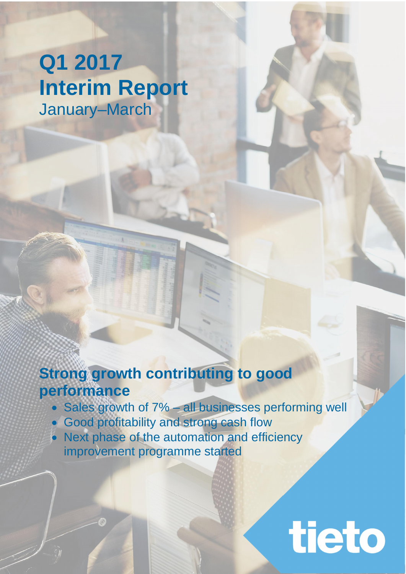# **Q1 2017 Interim Report** January–March

## **Strong growth contributing to good performance**

• Sales growth of 7% – all businesses performing well

tieto

- **Good profitability and strong cash flow**
- Next phase of the automation and efficiency improvement programme started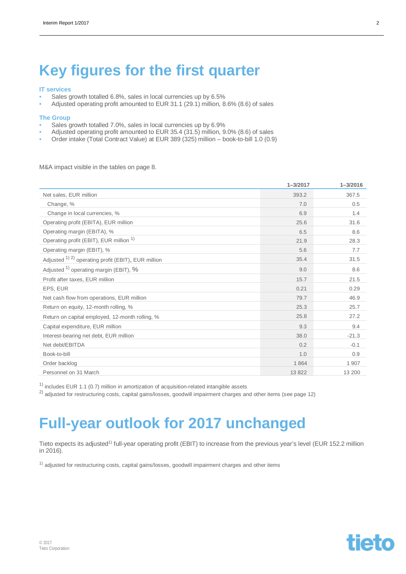## **Key figures for the first quarter**

#### **IT services**

- Sales growth totalled 6.8%, sales in local currencies up by 6.5%
- Adjusted operating profit amounted to EUR 31.1 (29.1) million, 8.6% (8.6) of sales

#### **The Group**

- Sales growth totalled 7.0%, sales in local currencies up by 6.9%
- Adjusted operating profit amounted to EUR 35.4 (31.5) million, 9.0% (8.6) of sales
- Order intake (Total Contract Value) at EUR 389 (325) million book-to-bill 1.0 (0.9)

M&A impact visible in the tables on page 8.

|                                                        | $1 - 3/2017$ | $1 - 3/2016$ |
|--------------------------------------------------------|--------------|--------------|
| Net sales, EUR million                                 | 393.2        | 367.5        |
| Change, %                                              | 7.0          | 0.5          |
| Change in local currencies, %                          | 6.9          | 1.4          |
| Operating profit (EBITA), EUR million                  | 25.6         | 31.6         |
| Operating margin (EBITA), %                            | 6.5          | 8.6          |
| Operating profit (EBIT), EUR million <sup>1)</sup>     | 21.9         | 28.3         |
| Operating margin (EBIT), %                             | 5.6          | 7.7          |
| Adjusted $(1)$ 2) operating profit (EBIT), EUR million | 35.4         | 31.5         |
| Adjusted $1)$ operating margin (EBIT), $%$             | 9.0          | 8.6          |
| Profit after taxes, EUR million                        | 15.7         | 21.5         |
| EPS, EUR                                               | 0.21         | 0.29         |
| Net cash flow from operations, EUR million             | 79.7         | 46.9         |
| Return on equity, 12-month rolling, %                  | 25.3         | 25.7         |
| Return on capital employed, 12-month rolling, %        | 25.8         | 27.2         |
| Capital expenditure, EUR million                       | 9.3          | 9.4          |
| Interest-bearing net debt, EUR million                 | 38.0         | $-21.3$      |
| Net debt/EBITDA                                        | 0.2          | $-0.1$       |
| Book-to-bill                                           | 1.0          | 0.9          |
| Order backlog                                          | 1864         | 1 907        |
| Personnel on 31 March                                  | 13 822       | 13 200       |

 $1)$  includes EUR 1.1 (0.7) million in amortization of acquisition-related intangible assets

<sup>2)</sup> adjusted for restructuring costs, capital gains/losses, goodwill impairment charges and other items (see page 12)

## **Full-year outlook for 2017 unchanged**

Tieto expects its adjusted<sup>1)</sup> full-year operating profit (EBIT) to increase from the previous year's level (EUR 152.2 million in 2016).

 $1)$  adjusted for restructuring costs, capital gains/losses, goodwill impairment charges and other items

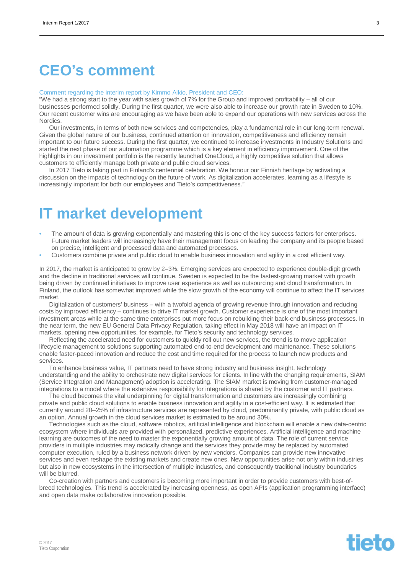## **CEO's comment**

#### Comment regarding the interim report by Kimmo Alkio, President and CEO:

"We had a strong start to the year with sales growth of 7% for the Group and improved profitability – all of our businesses performed solidly. During the first quarter, we were also able to increase our growth rate in Sweden to 10%. Our recent customer wins are encouraging as we have been able to expand our operations with new services across the Nordics.

Our investments, in terms of both new services and competencies, play a fundamental role in our long-term renewal. Given the global nature of our business, continued attention on innovation, competitiveness and efficiency remain important to our future success. During the first quarter, we continued to increase investments in Industry Solutions and started the next phase of our automation programme which is a key element in efficiency improvement. One of the highlights in our investment portfolio is the recently launched OneCloud, a highly competitive solution that allows customers to efficiently manage both private and public cloud services.

In 2017 Tieto is taking part in Finland's centennial celebration. We honour our Finnish heritage by activating a discussion on the impacts of technology on the future of work. As digitalization accelerates, learning as a lifestyle is increasingly important for both our employees and Tieto's competitiveness."

## **IT market development**

- The amount of data is growing exponentially and mastering this is one of the key success factors for enterprises. Future market leaders will increasingly have their management focus on leading the company and its people based on precise, intelligent and processed data and automated processes.
- Customers combine private and public cloud to enable business innovation and agility in a cost efficient way.

In 2017, the market is anticipated to grow by 2–3%. Emerging services are expected to experience double-digit growth and the decline in traditional services will continue. Sweden is expected to be the fastest-growing market with growth being driven by continued initiatives to improve user experience as well as outsourcing and cloud transformation. In Finland, the outlook has somewhat improved while the slow growth of the economy will continue to affect the IT services market.

Digitalization of customers' business – with a twofold agenda of growing revenue through innovation and reducing costs by improved efficiency – continues to drive IT market growth. Customer experience is one of the most important investment areas while at the same time enterprises put more focus on rebuilding their back-end business processes. In the near term, the new EU General Data Privacy Regulation, taking effect in May 2018 will have an impact on IT markets, opening new opportunities, for example, for Tieto's security and technology services.

Reflecting the accelerated need for customers to quickly roll out new services, the trend is to move application lifecycle management to solutions supporting automated end-to-end development and maintenance. These solutions enable faster-paced innovation and reduce the cost and time required for the process to launch new products and services.

To enhance business value, IT partners need to have strong industry and business insight, technology understanding and the ability to orchestrate new digital services for clients. In line with the changing requirements, SIAM (Service Integration and Management) adoption is accelerating. The SIAM market is moving from customer-managed integrations to a model where the extensive responsibility for integrations is shared by the customer and IT partners.

The cloud becomes the vital underpinning for digital transformation and customers are increasingly combining private and public cloud solutions to enable business innovation and agility in a cost-efficient way. It is estimated that currently around 20–25% of infrastructure services are represented by cloud, predominantly private, with public cloud as an option. Annual growth in the cloud services market is estimated to be around 30%.

Technologies such as the cloud, software robotics, artificial intelligence and blockchain will enable a new data-centric ecosystem where individuals are provided with personalized, predictive experiences. Artificial intelligence and machine learning are outcomes of the need to master the exponentially growing amount of data. The role of current service providers in multiple industries may radically change and the services they provide may be replaced by automated computer execution, ruled by a business network driven by new vendors. Companies can provide new innovative services and even reshape the existing markets and create new ones. New opportunities arise not only within industries but also in new ecosystems in the intersection of multiple industries, and consequently traditional industry boundaries will be blurred.

Co-creation with partners and customers is becoming more important in order to provide customers with best-ofbreed technologies. This trend is accelerated by increasing openness, as open APIs (application programming interface) and open data make collaborative innovation possible.

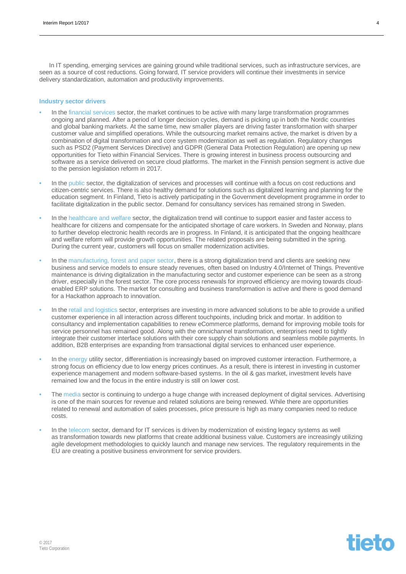In IT spending, emerging services are gaining ground while traditional services, such as infrastructure services, are seen as a source of cost reductions. Going forward, IT service providers will continue their investments in service delivery standardization, automation and productivity improvements.

#### **Industry sector drivers**

- In the financial services sector, the market continues to be active with many large transformation programmes ongoing and planned. After a period of longer decision cycles, demand is picking up in both the Nordic countries and global banking markets. At the same time, new smaller players are driving faster transformation with sharper customer value and simplified operations. While the outsourcing market remains active, the market is driven by a combination of digital transformation and core system modernization as well as regulation. Regulatory changes such as PSD2 (Payment Services Directive) and GDPR (General Data Protection Regulation) are opening up new opportunities for Tieto within Financial Services. There is growing interest in business process outsourcing and software as a service delivered on secure cloud platforms. The market in the Finnish pension segment is active due to the pension legislation reform in 2017.
- In the public sector, the digitalization of services and processes will continue with a focus on cost reductions and citizen-centric services. There is also healthy demand for solutions such as digitalized learning and planning for the education segment. In Finland, Tieto is actively participating in the Government development programme in order to facilitate digitalization in the public sector. Demand for consultancy services has remained strong in Sweden.
- In the healthcare and welfare sector, the digitalization trend will continue to support easier and faster access to healthcare for citizens and compensate for the anticipated shortage of care workers. In Sweden and Norway, plans to further develop electronic health records are in progress. In Finland, it is anticipated that the ongoing healthcare and welfare reform will provide growth opportunities. The related proposals are being submitted in the spring. During the current year, customers will focus on smaller modernization activities.
- In the manufacturing, forest and paper sector, there is a strong digitalization trend and clients are seeking new business and service models to ensure steady revenues, often based on Industry 4.0/Internet of Things. Preventive maintenance is driving digitalization in the manufacturing sector and customer experience can be seen as a strong driver, especially in the forest sector. The core process renewals for improved efficiency are moving towards cloudenabled ERP solutions. The market for consulting and business transformation is active and there is good demand for a Hackathon approach to innovatíon.
- In the retail and logistics sector, enterprises are investing in more advanced solutions to be able to provide a unified customer experience in all interaction across different touchpoints, including brick and mortar. In addition to consultancy and implementation capabilities to renew eCommerce platforms, demand for improving mobile tools for service personnel has remained good. Along with the omnichannel transformation, enterprises need to tightly integrate their customer interface solutions with their core supply chain solutions and seamless mobile payments. In addition, B2B enterprises are expanding from transactional digital services to enhanced user experience.
- In the energy utility sector, differentiation is increasingly based on improved customer interaction. Furthermore, a strong focus on efficiency due to low energy prices continues. As a result, there is interest in investing in customer experience management and modern software-based systems. In the oil & gas market, investment levels have remained low and the focus in the entire industry is still on lower cost.
- The media sector is continuing to undergo a huge change with increased deployment of digital services. Advertising is one of the main sources for revenue and related solutions are being renewed. While there are opportunities related to renewal and automation of sales processes, price pressure is high as many companies need to reduce costs.
- In the telecom sector, demand for IT services is driven by modernization of existing legacy systems as well as transformation towards new platforms that create additional business value. Customers are increasingly utilizing agile development methodologies to quickly launch and manage new services. The regulatory requirements in the EU are creating a positive business environment for service providers.



**tieto**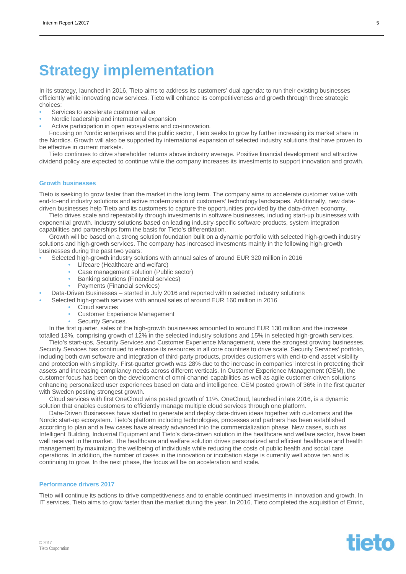## **Strategy implementation**

In its strategy, launched in 2016, Tieto aims to address its customers' dual agenda: to run their existing businesses efficiently while innovating new services. Tieto will enhance its competitiveness and growth through three strategic choices:

- Services to accelerate customer value
- Nordic leadership and international expansion
- Active participation in open ecosystems and co-innovation.

Focusing on Nordic enterprises and the public sector, Tieto seeks to grow by further increasing its market share in the Nordics. Growth will also be supported by international expansion of selected industry solutions that have proven to be effective in current markets.

Tieto continues to drive shareholder returns above industry average. Positive financial development and attractive dividend policy are expected to continue while the company increases its investments to support innovation and growth.

#### **Growth businesses**

Tieto is seeking to grow faster than the market in the long term. The company aims to accelerate customer value with end-to-end industry solutions and active modernization of customers' technology landscapes. Additionally, new datadriven businesses help Tieto and its customers to capture the opportunities provided by the data-driven economy.

Tieto drives scale and repeatability through investments in software businesses, including start-up businesses with exponential growth. Industry solutions based on leading industry-specific software products, system integration capabilities and partnerships form the basis for Tieto's differentiation.

Growth will be based on a strong solution foundation built on a dynamic portfolio with selected high-growth industry solutions and high-growth services. The company has increased invesments mainly in the following high-growth businesses during the past two years:

- Selected high-growth industry solutions with annual sales of around EUR 320 million in 2016
	- Lifecare (Healthcare and welfare)
	- Case management solution (Public sector)
	- Banking solutions (Financial services)
	- Payments (Financial services)

• Data-Driven Businesses – started in July 2016 and reported within selected industry solutions

- Selected high-growth services with annual sales of around EUR 160 million in 2016
	- Cloud services
	- Customer Experience Management
	- Security Services.

In the first quarter, sales of the high-growth businesses amounted to around EUR 130 million and the increase totalled 13%, comprising growth of 12% in the selected industry solutions and 15% in selected high-growth services.

Tieto's start-ups, Security Services and Customer Experience Management, were the strongest growing businesses. Security Services has continued to enhance its resources in all core countries to drive scale. Security Services' portfolio, including both own software and integration of third-party products, provides customers with end-to-end asset visibility and protection with simplicity. First-quarter growth was 28% due to the increase in companies' interest in protecting their assets and increasing compliancy needs across different verticals. In Customer Experience Management (CEM), the customer focus has been on the development of omni-channel capabilities as well as agile customer-driven solutions enhancing personalized user experiences based on data and intelligence. CEM posted growth of 36% in the first quarter with Sweden posting strongest growth.

Cloud services with first OneCloud wins posted growth of 11%. OneCloud, launched in late 2016, is a dynamic solution that enables customers to efficiently manage multiple cloud services through one platform.

Data-Driven Businesses have started to generate and deploy data-driven ideas together with customers and the Nordic start-up ecosystem. Tieto's platform including technologies, processes and partners has been established according to plan and a few cases have already advanced into the commercialization phase. New cases, such as Intelligent Building, Industrial Equipment and Tieto's data-driven solution in the healthcare and welfare sector, have been well received in the market. The healthcare and welfare solution drives personalized and efficient healthcare and health management by maximizing the wellbeing of individuals while reducing the costs of public health and social care operations. In addition, the number of cases in the innovation or incubation stage is currently well above ten and is continuing to grow. In the next phase, the focus will be on acceleration and scale.

#### **Performance drivers 2017**

Tieto will continue its actions to drive competitiveness and to enable continued investments in innovation and growth. In IT services, Tieto aims to grow faster than the market during the year. In 2016, Tieto completed the acquisition of Emric,

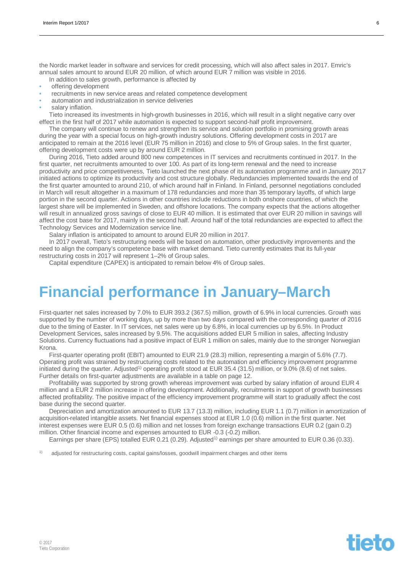the Nordic market leader in software and services for credit processing, which will also affect sales in 2017. Emric's annual sales amount to around EUR 20 million, of which around EUR 7 million was visible in 2016.

- In addition to sales growth, performance is affected by
- offering development
- recruitments in new service areas and related competence development
- automation and industrialization in service deliveries
- salary inflation.

Tieto increased its investments in high-growth businesses in 2016, which will result in a slight negative carry over effect in the first half of 2017 while automation is expected to support second-half profit improvement.

The company will continue to renew and strengthen its service and solution portfolio in promising growth areas during the year with a special focus on high-growth industry solutions. Offering development costs in 2017 are anticipated to remain at the 2016 level (EUR 75 million in 2016) and close to 5% of Group sales. In the first quarter, offering development costs were up by around EUR 2 million.

During 2016, Tieto added around 800 new competences in IT services and recruitments continued in 2017. In the first quarter, net recruitments amounted to over 100. As part of its long-term renewal and the need to increase productivity and price competitiveness, Tieto launched the next phase of its automation programme and in January 2017 initiated actions to optimize its productivity and cost structure globally. Redundancies implemented towards the end of the first quarter amounted to around 210, of which around half in Finland. In Finland, personnel negotiations concluded in March will result altogether in a maximum of 178 redundancies and more than 35 temporary layoffs, of which large portion in the second quarter. Actions in other countries include reductions in both onshore countries, of which the largest share will be implemented in Sweden, and offshore locations. The company expects that the actions altogether will result in annualized gross savings of close to EUR 40 million. It is estimated that over EUR 20 million in savings will affect the cost base for 2017, mainly in the second half. Around half of the total redundancies are expected to affect the Technology Services and Modernization service line.

Salary inflation is anticipated to amount to around EUR 20 million in 2017.

In 2017 overall, Tieto's restructuring needs will be based on automation, other productivity improvements and the need to align the company's competence base with market demand. Tieto currently estimates that its full-year restructuring costs in 2017 will represent 1–2% of Group sales.

Capital expenditure (CAPEX) is anticipated to remain below 4% of Group sales.

## **Financial performance in January–March**

First-quarter net sales increased by 7.0% to EUR 393.2 (367.5) million, growth of 6.9% in local currencies. Growth was supported by the number of working days, up by more than two days compared with the corresponding quarter of 2016 due to the timing of Easter. In IT services, net sales were up by 6.8%, in local currencies up by 6.5%. In Product Development Services, sales increased by 9.5%. The acquisitions added EUR 5 million in sales, affecting Industry Solutions. Currency fluctuations had a positive impact of EUR 1 million on sales, mainly due to the stronger Norwegian Krona.

First-quarter operating profit (EBIT) amounted to EUR 21.9 (28.3) million, representing a margin of 5.6% (7.7). Operating profit was strained by restructuring costs related to the automation and efficiency improvement programme initiated during the quarter. Adjusted<sup>1)</sup> operating profit stood at EUR 35.4 (31.5) million, or 9.0% (8.6) of net sales. Further details on first-quarter adjustments are available in a table on page 12.

Profitability was supported by strong growth whereas improvement was curbed by salary inflation of around EUR 4 million and a EUR 2 million increase in offering development. Additionally, recruitments in support of growth businesses affected profitability. The positive impact of the efficiency improvement programme will start to gradually affect the cost base during the second quarter.

Depreciation and amortization amounted to EUR 13.7 (13.3) million, including EUR 1.1 (0.7) million in amortization of acquisition-related intangible assets. Net financial expenses stood at EUR 1.0 (0.6) million in the first quarter. Net interest expenses were EUR 0.5 (0.6) million and net losses from foreign exchange transactions EUR 0.2 (gain 0.2) million. Other financial income and expenses amounted to EUR -0.3 (-0.2) million.

Earnings per share (EPS) totalled EUR 0.21 (0.29). Adjusted<sup>1)</sup> earnings per share amounted to EUR 0.36 (0.33).

 $1)$  adjusted for restructuring costs, capital gains/losses, goodwill impairment charges and other items

# **tieto**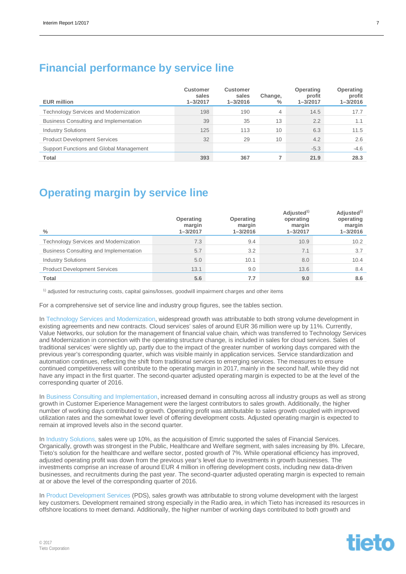### **Financial performance by service line**

| <b>EUR million</b>                      | <b>Customer</b><br>sales<br>$1 - 3/2017$ | <b>Customer</b><br>sales<br>$1 - 3/2016$ | Change,<br>$\%$ | Operating<br>profit<br>$1 - 3/2017$ | <b>Operating</b><br>profit<br>$1 - 3/2016$ |
|-----------------------------------------|------------------------------------------|------------------------------------------|-----------------|-------------------------------------|--------------------------------------------|
| Technology Services and Modernization   | 198                                      | 190                                      | 4               | 14.5                                | 17.7                                       |
| Business Consulting and Implementation  | 39                                       | 35                                       | 13              | 2.2                                 | 1.1                                        |
| <b>Industry Solutions</b>               | 125                                      | 113                                      | 10              | 6.3                                 | 11.5                                       |
| <b>Product Development Services</b>     | 32                                       | 29                                       | 10              | 4.2                                 | 2.6                                        |
| Support Functions and Global Management |                                          |                                          |                 | $-5.3$                              | $-4.6$                                     |
| Total                                   | 393                                      | 367                                      |                 | 21.9                                | 28.3                                       |

### **Operating margin by service line**

| $\%$                                         | Operating<br>margin<br>$1 - 3/2017$ | Operating<br>margin<br>$1 - 3/2016$ | Adjusted <sup>1)</sup><br>operating<br>margin<br>$1 - 3/2017$ | Adjusted <sup>1)</sup><br>operating<br>margin<br>$1 - 3/2016$ |
|----------------------------------------------|-------------------------------------|-------------------------------------|---------------------------------------------------------------|---------------------------------------------------------------|
| <b>Technology Services and Modernization</b> | 7.3                                 | 9.4                                 | 10.9                                                          | 10.2                                                          |
| Business Consulting and Implementation       | 5.7                                 | 3.2                                 | 7.1                                                           | 3.7                                                           |
| <b>Industry Solutions</b>                    | 5.0                                 | 10.1                                | 8.0                                                           | 10.4                                                          |
| <b>Product Development Services</b>          | 13.1                                | 9.0                                 | 13.6                                                          | 8.4                                                           |
| <b>Total</b>                                 | 5.6                                 | 7.7                                 | 9.0                                                           | 8.6                                                           |

 $<sup>1</sup>$  adjusted for restructuring costs, capital gains/losses, goodwill impairment charges and other items</sup>

For a comprehensive set of service line and industry group figures, see the tables section.

In Technology Services and Modernization, widespread growth was attributable to both strong volume development in existing agreements and new contracts. Cloud services' sales of around EUR 36 million were up by 11%. Currently, Value Networks, our solution for the management of financial value chain, which was transferred to Technology Services and Modernization in connection with the operating structure change, is included in sales for cloud services. Sales of traditional services' were slightly up, partly due to the impact of the greater number of working days compared with the previous year's corresponding quarter, which was visible mainly in application services. Service standardization and automation continues, reflecting the shift from traditional services to emerging services. The measures to ensure continued competitiveness will contribute to the operating margin in 2017, mainly in the second half, while they did not have any impact in the first quarter. The second-quarter adjusted operating margin is expected to be at the level of the corresponding quarter of 2016.

In Business Consulting and Implementation, increased demand in consulting across all industry groups as well as strong growth in Customer Experience Management were the largest contributors to sales growth. Additionally, the higher number of working days contributed to growth. Operating profit was attributable to sales growth coupled with improved utilization rates and the somewhat lower level of offering development costs. Adjusted operating margin is expected to remain at improved levels also in the second quarter.

In Industry Solutions, sales were up 10%, as the acquisition of Emric supported the sales of Financial Services. Organically, growth was strongest in the Public, Healthcare and Welfare segment, with sales increasing by 8%. Lifecare, Tieto's solution for the healthcare and welfare sector, posted growth of 7%. While operational efficiency has improved, adjusted operating profit was down from the previous year's level due to investments in growth businesses. The investments comprise an increase of around EUR 4 million in offering development costs, including new data-driven businesses, and recruitments during the past year. The second-quarter adjusted operating margin is expected to remain at or above the level of the corresponding quarter of 2016.

In Product Development Services (PDS), sales growth was attributable to strong volume development with the largest key customers. Development remained strong especially in the Radio area, in which Tieto has increased its resources in offshore locations to meet demand. Additionally, the higher number of working days contributed to both growth and

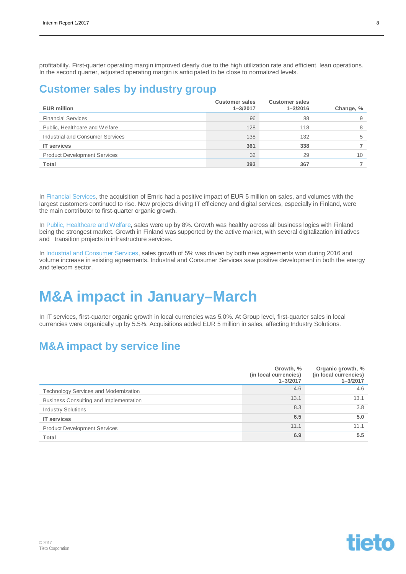profitability. First-quarter operating margin improved clearly due to the high utilization rate and efficient, lean operations. In the second quarter, adjusted operating margin is anticipated to be close to normalized levels.

### **Customer sales by industry group**

| <b>EUR million</b>                  | <b>Customer sales</b><br>$1 - 3/2017$ | <b>Customer sales</b><br>$1 - 3/2016$ | Change, % |
|-------------------------------------|---------------------------------------|---------------------------------------|-----------|
| <b>Financial Services</b>           | 96                                    | 88                                    |           |
| Public, Healthcare and Welfare      | 128                                   | 118                                   |           |
| Industrial and Consumer Services    | 138                                   | 132                                   | 5         |
| <b>IT</b> services                  | 361                                   | 338                                   |           |
| <b>Product Development Services</b> | 32                                    | 29                                    | 10        |
| Total                               | 393                                   | 367                                   |           |

In Financial Services, the acquisition of Emric had a positive impact of EUR 5 million on sales, and volumes with the largest customers continued to rise. New projects driving IT efficiency and digital services, especially in Finland, were the main contributor to first-quarter organic growth.

In Public, Healthcare and Welfare, sales were up by 8%. Growth was healthy across all business logics with Finland being the strongest market. Growth in Finland was supported by the active market, with several digitalization initiatives and transition projects in infrastructure services.

In Industrial and Consumer Services, sales growth of 5% was driven by both new agreements won during 2016 and volume increase in existing agreements. Industrial and Consumer Services saw positive development in both the energy and telecom sector.

## **M&A impact in January–March**

In IT services, first-quarter organic growth in local currencies was 5.0%. At Group level, first-quarter sales in local currencies were organically up by 5.5%. Acquisitions added EUR 5 million in sales, affecting Industry Solutions.

### **M&A impact by service line**

|                                              | Growth, %<br>(in local currencies)<br>$1 - 3/2017$ | Organic growth, %<br>(in local currencies)<br>$1 - 3/2017$ |
|----------------------------------------------|----------------------------------------------------|------------------------------------------------------------|
| <b>Technology Services and Modernization</b> | 4.6                                                | 4.6                                                        |
| Business Consulting and Implementation       | 13.1                                               | 13.1                                                       |
| <b>Industry Solutions</b>                    | 8.3                                                | 3.8                                                        |
| <b>IT</b> services                           | 6.5                                                | 5.0                                                        |
| <b>Product Development Services</b>          | 11.1                                               | 11.1                                                       |
| <b>Total</b>                                 | 6.9                                                | 5.5                                                        |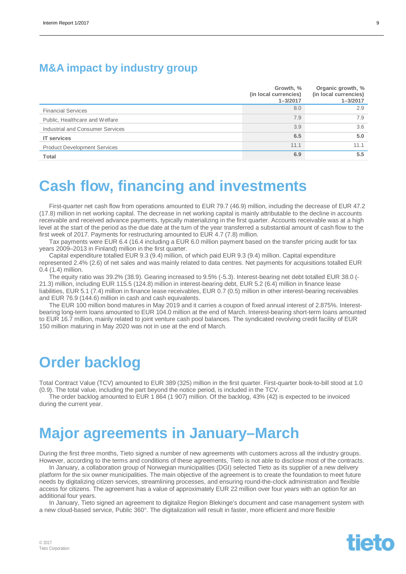### **M&A impact by industry group**

|                                     | Growth, %<br>(in local currencies)<br>$1 - 3/2017$ | Organic growth, %<br>(in local currencies)<br>$1 - 3/2017$ |
|-------------------------------------|----------------------------------------------------|------------------------------------------------------------|
| <b>Financial Services</b>           | 8.0                                                | 2.9                                                        |
| Public, Healthcare and Welfare      | 7.9                                                | 7.9                                                        |
| Industrial and Consumer Services    | 3.9                                                | 3.6                                                        |
| <b>IT</b> services                  | 6.5                                                | 5.0                                                        |
| <b>Product Development Services</b> | 11.1                                               | 11.1                                                       |
| <b>Total</b>                        | 6.9                                                | 5.5                                                        |

## **Cash flow, financing and investments**

First-quarter net cash flow from operations amounted to EUR 79.7 (46.9) million, including the decrease of EUR 47.2 (17.8) million in net working capital. The decrease in net working capital is mainly attributable to the decline in accounts receivable and received advance payments, typically materializing in the first quarter. Accounts receivable was at a high level at the start of the period as the due date at the turn of the year transferred a substantial amount of cash flow to the first week of 2017. Payments for restructuring amounted to EUR 4.7 (7.8) million.

Tax payments were EUR 6.4 (16.4 including a EUR 6.0 million payment based on the transfer pricing audit for tax years 2009–2013 in Finland) million in the first quarter.

Capital expenditure totalled EUR 9.3 (9.4) million, of which paid EUR 9.3 (9.4) million. Capital expenditure represented 2.4% (2.6) of net sales and was mainly related to data centres. Net payments for acquisitions totalled EUR 0.4 (1.4) million.

The equity ratio was 39.2% (38.9). Gearing increased to 9.5% (-5.3). Interest-bearing net debt totalled EUR 38.0 (- 21.3) million, including EUR 115.5 (124.8) million in interest-bearing debt, EUR 5.2 (6.4) million in finance lease liabilities, EUR 5.1 (7.4) million in finance lease receivables, EUR 0.7 (0.5) million in other interest-bearing receivables and EUR 76.9 (144.6) million in cash and cash equivalents.

The EUR 100 million bond matures in May 2019 and it carries a coupon of fixed annual interest of 2.875%. Interestbearing long-term loans amounted to EUR 104.0 million at the end of March. Interest-bearing short-term loans amounted to EUR 16.7 million, mainly related to joint venture cash pool balances. The syndicated revolving credit facility of EUR 150 million maturing in May 2020 was not in use at the end of March.

## **Order backlog**

Total Contract Value (TCV) amounted to EUR 389 (325) million in the first quarter. First-quarter book-to-bill stood at 1.0 (0.9). The total value, including the part beyond the notice period, is included in the TCV.

The order backlog amounted to EUR 1 864 (1 907) million. Of the backlog, 43% (42) is expected to be invoiced during the current year.

## **Major agreements in January–March**

During the first three months, Tieto signed a number of new agreements with customers across all the industry groups. However, according to the terms and conditions of these agreements, Tieto is not able to disclose most of the contracts.

In January, a collaboration group of Norwegian municipalities (DGI) selected Tieto as its supplier of a new delivery platform for the six owner municipalities. The main objective of the agreement is to create the foundation to meet future needs by digitalizing citizen services, streamlining processes, and ensuring round-the-clock administration and flexible access for citizens. The agreement has a value of approximately EUR 22 million over four years with an option for an additional four years.

In January, Tieto signed an agreement to digitalize Region Blekinge's document and case management system with a new cloud-based service, Public 360°. The digitalization will result in faster, more efficient and more flexible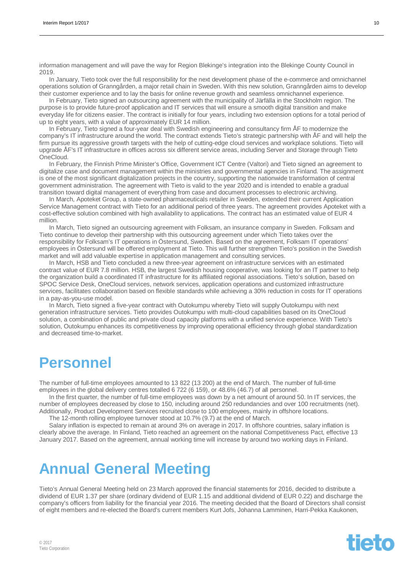information management and will pave the way for Region Blekinge's integration into the Blekinge County Council in 2019.

In January, Tieto took over the full responsibility for the next development phase of the e-commerce and omnichannel operations solution of Granngården, a major retail chain in Sweden. With this new solution, Granngården aims to develop their customer experience and to lay the basis for online revenue growth and seamless omnichannel experience.

In February, Tieto signed an outsourcing agreement with the municipality of Järfälla in the Stockholm region. The purpose is to provide future-proof application and IT services that will ensure a smooth digital transition and make everyday life for citizens easier. The contract is initially for four years, including two extension options for a total period of up to eight years, with a value of approximately EUR 14 million.

In February, Tieto signed a four-year deal with Swedish engineering and consultancy firm ÅF to modernize the company's IT infrastructure around the world. The contract extends Tieto's strategic partnership with ÅF and will help the firm pursue its aggressive growth targets with the help of cutting-edge cloud services and workplace solutions. Tieto will upgrade ÅF's IT infrastructure in offices across six different service areas, including Server and Storage through Tieto OneCloud.

In February, the Finnish Prime Minister's Office, Government ICT Centre (Valtori) and Tieto signed an agreement to digitalize case and document management within the ministries and governmental agencies in Finland. The assignment is one of the most significant digitalization projects in the country, supporting the nationwide transformation of central government administration. The agreement with Tieto is valid to the year 2020 and is intended to enable a gradual transition toward digital management of everything from case and document processes to electronic archiving.

In March, Apoteket Group, a state-owned pharmaceuticals retailer in Sweden, extended their current Application Service Management contract with Tieto for an additional period of three years. The agreement provides Apoteket with a cost-effective solution combined with high availability to applications. The contract has an estimated value of EUR 4 million.

In March, Tieto signed an outsourcing agreement with Folksam, an insurance company in Sweden. Folksam and Tieto continue to develop their partnership with this outsourcing agreement under which Tieto takes over the responsibility for Folksam's IT operations in Östersund, Sweden. Based on the agreement, Folksam IT operations' employees in Östersund will be offered employment at Tieto. This will further strengthen Tieto's position in the Swedish market and will add valuable expertise in application management and consulting services.

In March, HSB and Tieto concluded a new three-year agreement on infrastructure services with an estimated contract value of EUR 7.8 million. HSB, the largest Swedish housing cooperative, was looking for an IT partner to help the organization build a coordinated IT infrastructure for its affiliated regional associations. Tieto's solution, based on SPOC Service Desk, OneCloud services, network services, application operations and customized infrastructure services, facilitates collaboration based on flexible standards while achieving a 30% reduction in costs for IT operations in a pay-as-you-use model.

In March, Tieto signed a five-year contract with Outokumpu whereby Tieto will supply Outokumpu with next generation infrastructure services. Tieto provides Outokumpu with multi-cloud capabilities based on its OneCloud solution, a combination of public and private cloud capacity platforms with a unified service experience. With Tieto's solution, Outokumpu enhances its competitiveness by improving operational efficiency through global standardization and decreased time-to-market.

## **Personnel**

The number of full-time employees amounted to 13 822 (13 200) at the end of March. The number of full-time employees in the global delivery centres totalled 6 722 (6 159), or 48.6% (46.7) of all personnel.

In the first quarter, the number of full-time employees was down by a net amount of around 50. In IT services, the number of employees decreased by close to 150, including around 250 redundancies and over 100 recruitments (net). Additionally, Product Development Services recruited close to 100 employees, mainly in offshore locations.

The 12-month rolling employee turnover stood at 10.7% (9.7) at the end of March.

Salary inflation is expected to remain at around 3% on average in 2017. In offshore countries, salary inflation is clearly above the average. In Finland, Tieto reached an agreement on the national Competitiveness Pact, effective 13 January 2017. Based on the agreement, annual working time will increase by around two working days in Finland.

## **Annual General Meeting**

Tieto's Annual General Meeting held on 23 March approved the financial statements for 2016, decided to distribute a dividend of EUR 1.37 per share (ordinary dividend of EUR 1.15 and additional dividend of EUR 0.22) and discharge the company's officers from liability for the financial year 2016. The meeting decided that the Board of Directors shall consist of eight members and re-elected the Board's current members Kurt Jofs, Johanna Lamminen, Harri-Pekka Kaukonen,

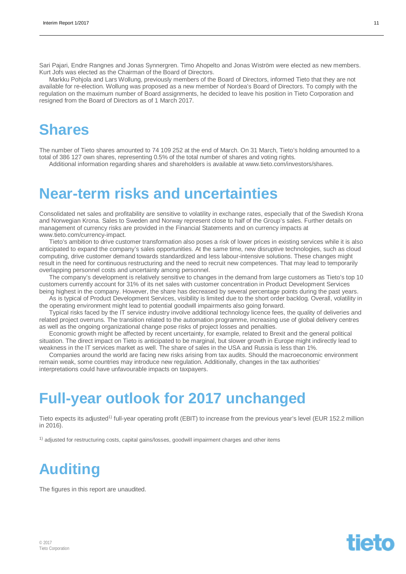Sari Pajari, Endre Rangnes and Jonas Synnergren. Timo Ahopelto and Jonas Wiström were elected as new members. Kurt Jofs was elected as the Chairman of the Board of Directors.

Markku Pohjola and Lars Wollung, previously members of the Board of Directors, informed Tieto that they are not available for re-election. Wollung was proposed as a new member of Nordea's Board of Directors. To comply with the regulation on the maximum number of Board assignments, he decided to leave his position in Tieto Corporation and resigned from the Board of Directors as of 1 March 2017.

## **Shares**

The number of Tieto shares amounted to 74 109 252 at the end of March. On 31 March, Tieto's holding amounted to a total of 386 127 own shares, representing 0.5% of the total number of shares and voting rights.

Additional information regarding shares and shareholders is available at www.tieto.com/investors/shares.

## **Near-term risks and uncertainties**

Consolidated net sales and profitability are sensitive to volatility in exchange rates, especially that of the Swedish Krona and Norwegian Krona. Sales to Sweden and Norway represent close to half of the Group's sales. Further details on management of currency risks are provided in the Financial Statements and on currency impacts at www.tieto.com/currency-impact.

Tieto's ambition to drive customer transformation also poses a risk of lower prices in existing services while it is also anticipated to expand the company's sales opportunities. At the same time, new disruptive technologies, such as cloud computing, drive customer demand towards standardized and less labour-intensive solutions. These changes might result in the need for continuous restructuring and the need to recruit new competences. That may lead to temporarily overlapping personnel costs and uncertainty among personnel.

The company's development is relatively sensitive to changes in the demand from large customers as Tieto's top 10 customers currently account for 31% of its net sales with customer concentration in Product Development Services being highest in the company. However, the share has decreased by several percentage points during the past years.

As is typical of Product Development Services, visibility is limited due to the short order backlog. Overall, volatility in the operating environment might lead to potential goodwill impairments also going forward.

Typical risks faced by the IT service industry involve additional technology licence fees, the quality of deliveries and related project overruns. The transition related to the automation programme, increasing use of global delivery centres as well as the ongoing organizational change pose risks of project losses and penalties.

Economic growth might be affected by recent uncertainty, for example, related to Brexit and the general political situation. The direct impact on Tieto is anticipated to be marginal, but slower growth in Europe might indirectly lead to weakness in the IT services market as well. The share of sales in the USA and Russia is less than 1%.

Companies around the world are facing new risks arising from tax audits. Should the macroeconomic environment remain weak, some countries may introduce new regulation. Additionally, changes in the tax authorities' interpretations could have unfavourable impacts on taxpayers.

## **Full-year outlook for 2017 unchanged**

Tieto expects its adjusted<sup>1)</sup> full-year operating profit (EBIT) to increase from the previous year's level (EUR 152.2 million in 2016).

1) adjusted for restructuring costs, capital gains/losses, goodwill impairment charges and other items

## **Auditing**

The figures in this report are unaudited.

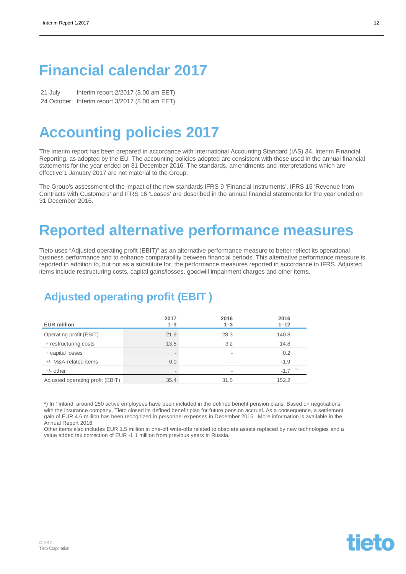## **Financial calendar 2017**

21 July Interim report 2/2017 (8.00 am EET) 24 October Interim report 3/2017 (8.00 am EET)

## **Accounting policies 2017**

The interim report has been prepared in accordance with International Accounting Standard (IAS) 34, Interim Financial Reporting, as adopted by the EU. The accounting policies adopted are consistent with those used in the annual financial statements for the year ended on 31 December 2016. The standards, amendments and interpretations which are effective 1 January 2017 are not material to the Group.

The Group's assessment of the impact of the new standards IFRS 9 'Financial Instruments', IFRS 15 'Revenue from Contracts with Customers' and IFRS 16 'Leases' are described in the annual financial statements for the year ended on 31 December 2016.

## **Reported alternative performance measures**

Tieto uses "Adjusted operating profit (EBIT)" as an alternative performance measure to better reflect its operational business performance and to enhance comparability between financial periods. This alternative performance measure is reported in addition to, but not as a substitute for, the performance measures reported in accordance to IFRS. Adjusted items include restructuring costs, capital gains/losses, goodwill impairment charges and other items.

### **Adjusted operating profit (EBIT )**

| <b>EUR million</b>               | 2017<br>$1 - 3$ | 2016<br>$1 - 3$          | 2016<br>$1 - 12$ |
|----------------------------------|-----------------|--------------------------|------------------|
| Operating profit (EBIT)          | 21.9            | 28.3                     | 140.8            |
| + restructuring costs            | 13.5            | 3.2                      | 14.8             |
| + capital losses                 | -               | $\sim$                   | 0.2              |
| +/- M&A-related items            | 0.0             | $\sim$                   | $-1.9$           |
| $+/-$ other                      |                 | $\overline{\phantom{a}}$ | $-1.7$           |
| Adjusted operating profit (EBIT) | 35.4            | 31.5                     | 152.2            |

\*) In Finland, around 250 active employees have been included in the defined benefit pension plans. Based on negotiations with the insurance company, Tieto closed its defined benefit plan for future pension accrual. As a consequence, a settlement gain of EUR 4.6 million has been recognized in personnel expenses in December 2016. More information is available in the Annual Report 2016.

Other items also includes EUR 1.5 million in one-off write-offs related to obsolete assets replaced by new technologies and a value added tax correction of EUR -1.1 million from previous years in Russia.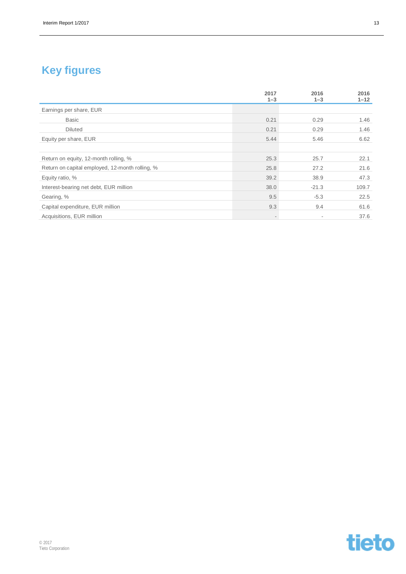## **Key figures**

|                                                 | 2017<br>$1 - 3$          | 2016<br>$1 - 3$          | 2016<br>$1 - 12$ |
|-------------------------------------------------|--------------------------|--------------------------|------------------|
| Earnings per share, EUR                         |                          |                          |                  |
| <b>Basic</b>                                    | 0.21                     | 0.29                     | 1.46             |
| <b>Diluted</b>                                  | 0.21                     | 0.29                     | 1.46             |
| Equity per share, EUR                           | 5.44                     | 5.46                     | 6.62             |
|                                                 |                          |                          |                  |
| Return on equity, 12-month rolling, %           | 25.3                     | 25.7                     | 22.1             |
| Return on capital employed, 12-month rolling, % | 25.8                     | 27.2                     | 21.6             |
| Equity ratio, %                                 | 39.2                     | 38.9                     | 47.3             |
| Interest-bearing net debt, EUR million          | 38.0                     | $-21.3$                  | 109.7            |
| Gearing, %                                      | 9.5                      | $-5.3$                   | 22.5             |
| Capital expenditure, EUR million                | 9.3                      | 9.4                      | 61.6             |
| Acquisitions, EUR million                       | $\overline{\phantom{a}}$ | $\overline{\phantom{a}}$ | 37.6             |

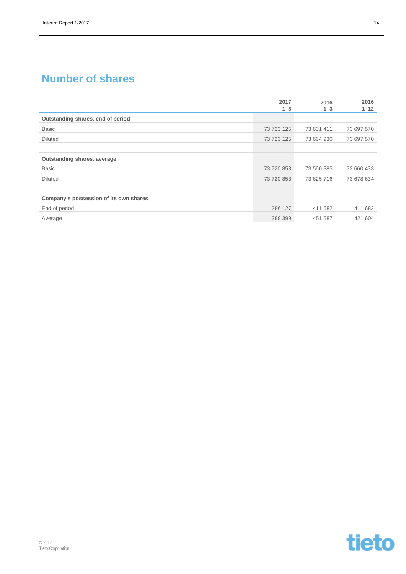### **Number of shares**

|                                        | 2017<br>$1 - 3$ | 2016<br>$1 - 3$ | 2016<br>$1 - 12$ |
|----------------------------------------|-----------------|-----------------|------------------|
| Outstanding shares, end of period      |                 |                 |                  |
| <b>Basic</b>                           | 73 723 125      | 73 601 411      | 73 697 570       |
| <b>Diluted</b>                         | 73 723 125      | 73 664 930      | 73 697 570       |
|                                        |                 |                 |                  |
| Outstanding shares, average            |                 |                 |                  |
| <b>Basic</b>                           | 73 720 853      | 73 560 885      | 73 660 433       |
| <b>Diluted</b>                         | 73 720 853      | 73 625 716      | 73 678 634       |
|                                        |                 |                 |                  |
| Company's possession of its own shares |                 |                 |                  |
| End of period                          | 386 127         | 411 682         | 411 682          |
| Average                                | 388 399         | 451 587         | 421 604          |

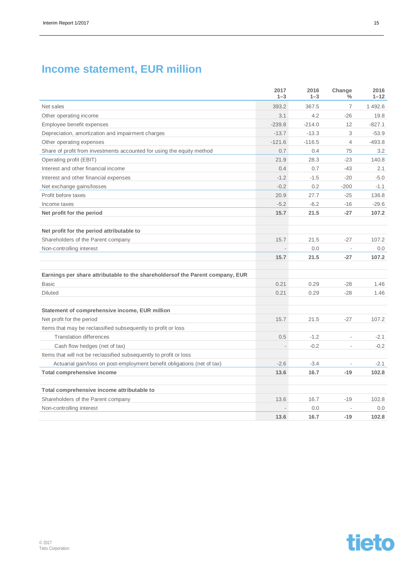### **Income statement, EUR million**

|                                                                               | 2017<br>$1 - 3$ | 2016<br>$1 - 3$ | Change<br>$\frac{0}{0}$ | 2016<br>$1 - 12$ |
|-------------------------------------------------------------------------------|-----------------|-----------------|-------------------------|------------------|
| Net sales                                                                     | 393.2           | 367.5           | 7                       | 1492.6           |
| Other operating income                                                        | 3.1             | 4.2             | $-26$                   | 19.8             |
| Employee benefit expenses                                                     | $-239.8$        | $-214.0$        | 12                      | $-827.1$         |
| Depreciation, amortization and impairment charges                             | $-13.7$         | $-13.3$         | 3                       | $-53.9$          |
| Other operating expenses                                                      | $-121.6$        | $-116.5$        | $\overline{4}$          | $-493.8$         |
| Share of profit from investments accounted for using the equity method        | 0.7             | 0.4             | 75                      | 3.2              |
| Operating profit (EBIT)                                                       | 21.9            | 28.3            | $-23$                   | 140.8            |
| Interest and other financial income                                           | 0.4             | 0.7             | $-43$                   | 2.1              |
| Interest and other financial expenses                                         | $-1.2$          | $-1.5$          | $-20$                   | $-5.0$           |
| Net exchange gains/losses                                                     | $-0.2$          | 0.2             | $-200$                  | $-1.1$           |
| Profit before taxes                                                           | 20.9            | 27.7            | $-25$                   | 136.8            |
| Income taxes                                                                  | $-5.2$          | $-6.2$          | $-16$                   | $-29.6$          |
| Net profit for the period                                                     | 15.7            | 21.5            | $-27$                   | 107.2            |
| Net profit for the period attributable to                                     |                 |                 |                         |                  |
| Shareholders of the Parent company                                            | 15.7            | 21.5            | $-27$                   | 107.2            |
| Non-controlling interest                                                      |                 | 0.0             | $\overline{a}$          | 0.0              |
|                                                                               | 15.7            | 21.5            | $-27$                   | 107.2            |
| Earnings per share attributable to the shareholdersof the Parent company, EUR |                 |                 |                         |                  |
| <b>Basic</b>                                                                  | 0.21            | 0.29            | $-28$                   | 1.46             |
| <b>Diluted</b>                                                                | 0.21            | 0.29            | $-28$                   | 1.46             |
| Statement of comprehensive income, EUR million                                |                 |                 |                         |                  |
| Net profit for the period                                                     | 15.7            | 21.5            | $-27$                   | 107.2            |
| Items that may be reclassified subsequently to profit or loss                 |                 |                 |                         |                  |
| <b>Translation differences</b>                                                | 0.5             | $-1.2$          | $\overline{a}$          | $-2.1$           |
| Cash flow hedges (net of tax)                                                 | $\overline{a}$  | $-0.2$          | $\overline{a}$          | $-0.2$           |
| Items that will not be reclassified subsequently to profit or loss            |                 |                 |                         |                  |
| Actuarial gain/loss on post-employment benefit obligations (net of tax)       | $-2.6$          | $-3.4$          | $\overline{a}$          | $-2.1$           |
| <b>Total comprehensive income</b>                                             | 13.6            | 16.7            | $-19$                   | 102.8            |
| Total comprehensive income attributable to                                    |                 |                 |                         |                  |
| Shareholders of the Parent company                                            | 13.6            | 16.7            | $-19$                   | 102.8            |
| Non-controlling interest                                                      |                 | 0.0             |                         | 0.0              |
|                                                                               | 13.6            | 16.7            | $-19$                   | 102.8            |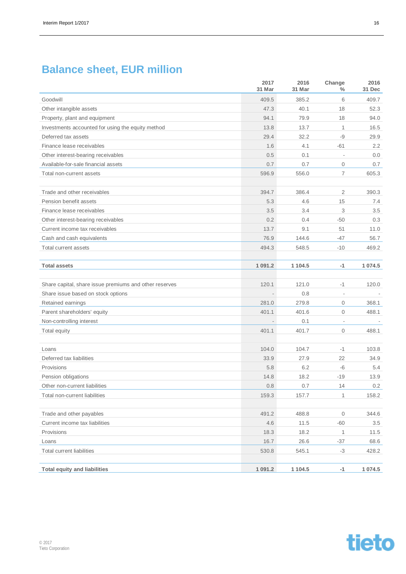### **Balance sheet, EUR million**

|                                                                      | 2017<br>31 Mar | 2016<br>31 Mar | Change<br>$\frac{0}{0}$  | 2016<br>31 Dec |
|----------------------------------------------------------------------|----------------|----------------|--------------------------|----------------|
| Goodwill                                                             | 409.5          | 385.2          | 6                        | 409.7          |
| Other intangible assets                                              | 47.3           | 40.1           | 18                       | 52.3           |
| Property, plant and equipment                                        | 94.1           | 79.9           | 18                       | 94.0           |
| Investments accounted for using the equity method                    | 13.8           | 13.7           | $\mathbf{1}$             | 16.5           |
| Deferred tax assets                                                  | 29.4           | 32.2           | -9                       | 29.9           |
| Finance lease receivables                                            | 1.6            | 4.1            | $-61$                    | 2.2            |
| Other interest-bearing receivables                                   | 0.5            | 0.1            | ÷,                       | 0.0            |
| Available-for-sale financial assets                                  | 0.7            | 0.7            | $\mathbf 0$              | 0.7            |
| Total non-current assets                                             | 596.9          | 556.0          | 7                        | 605.3          |
|                                                                      |                |                |                          |                |
| Trade and other receivables                                          | 394.7          | 386.4          | $\overline{2}$           | 390.3          |
| Pension benefit assets                                               | 5.3            | 4.6            | 15                       | 7.4            |
| Finance lease receivables                                            | 3.5            | 3.4            | 3                        | 3.5            |
| Other interest-bearing receivables<br>Current income tax receivables | 0.2<br>13.7    | 0.4<br>9.1     | $-50$<br>51              | 0.3<br>11.0    |
| Cash and cash equivalents                                            | 76.9           | 144.6          | $-47$                    | 56.7           |
| Total current assets                                                 | 494.3          | 548.5          | $-10$                    | 469.2          |
|                                                                      |                |                |                          |                |
| <b>Total assets</b>                                                  | 1 0 9 1 . 2    | 1 104.5        | $-1$                     | 1 074.5        |
| Share capital, share issue premiums and other reserves               | 120.1          | 121.0          | -1                       | 120.0          |
| Share issue based on stock options                                   |                | 0.8            | $\overline{\phantom{a}}$ |                |
| Retained earnings                                                    | 281.0          | 279.8          | $\mathbf{0}$             | 368.1          |
| Parent shareholders' equity                                          | 401.1          | 401.6          | $\mathbf 0$              | 488.1          |
| Non-controlling interest                                             |                | 0.1            | $\overline{\phantom{a}}$ |                |
| Total equity                                                         | 401.1          | 401.7          | $\mathbf 0$              | 488.1          |
|                                                                      |                |                |                          |                |
| Loans                                                                | 104.0          | 104.7          | $-1$                     | 103.8          |
| Deferred tax liabilities                                             | 33.9           | 27.9           | 22                       | 34.9           |
| Provisions                                                           | 5.8            | 6.2            | -6                       | 5.4            |
| Pension obligations                                                  | 14.8           | 18.2           | $-19$                    | 13.9           |
| Other non-current liabilities                                        | $0.8\,$        | 0.7            | 14                       | 0.2            |
| Total non-current liabilities                                        | 159.3          | 157.7          | 1                        | 158.2          |
| Trade and other payables                                             | 491.2          | 488.8          | $\mathsf{O}\xspace$      | 344.6          |
| Current income tax liabilities                                       | 4.6            | 11.5           | $-60$                    | $3.5\,$        |
| Provisions                                                           | 18.3           | 18.2           | $\mathbf{1}$             | 11.5           |
| Loans                                                                | 16.7           | 26.6           | $-37$                    | 68.6           |
| <b>Total current liabilities</b>                                     | 530.8          | 545.1          | $-3$                     | 428.2          |
| <b>Total equity and liabilities</b>                                  | 1 0 9 1 . 2    | 1 104.5        | $-1$                     | 1 0 7 4 .5     |

© 2017 Tieto Corporation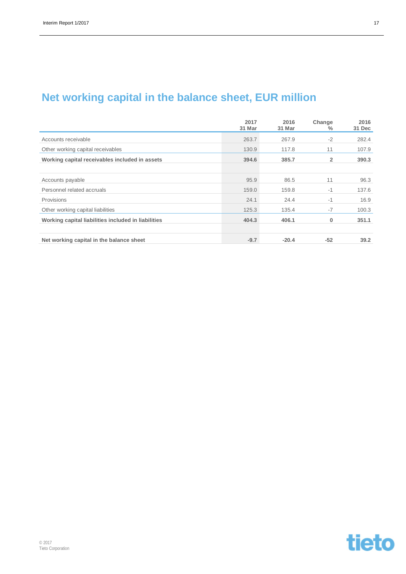### **Net working capital in the balance sheet, EUR million**

|                                                     | 2017<br>31 Mar | 2016<br>31 Mar | Change<br>$\%$ | 2016<br>31 Dec |
|-----------------------------------------------------|----------------|----------------|----------------|----------------|
| Accounts receivable                                 | 263.7          | 267.9          | $-2$           | 282.4          |
| Other working capital receivables                   | 130.9          | 117.8          | 11             | 107.9          |
| Working capital receivables included in assets      | 394.6          | 385.7          | $\overline{2}$ | 390.3          |
|                                                     |                |                |                |                |
| Accounts payable                                    | 95.9           | 86.5           | 11             | 96.3           |
| Personnel related accruals                          | 159.0          | 159.8          | $-1$           | 137.6          |
| Provisions                                          | 24.1           | 24.4           | $-1$           | 16.9           |
| Other working capital liabilities                   | 125.3          | 135.4          | $-7$           | 100.3          |
| Working capital liabilities included in liabilities | 404.3          | 406.1          | 0              | 351.1          |
|                                                     |                |                |                |                |
| Net working capital in the balance sheet            | $-9.7$         | $-20.4$        | $-52$          | 39.2           |

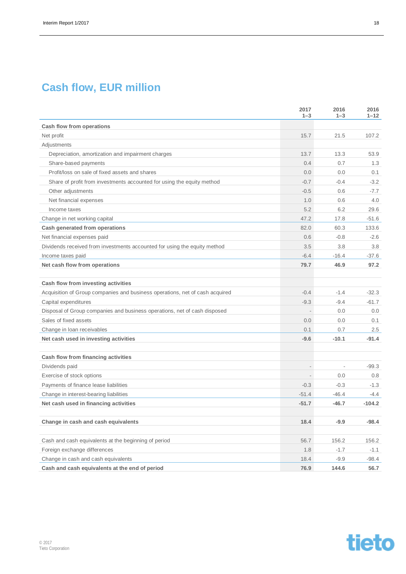### **Cash flow, EUR million**

|                                                                              | 2017<br>$1 - 3$          | 2016<br>$1 - 3$          | 2016<br>$1 - 12$ |
|------------------------------------------------------------------------------|--------------------------|--------------------------|------------------|
| Cash flow from operations                                                    |                          |                          |                  |
| Net profit                                                                   | 15.7                     | 21.5                     | 107.2            |
| Adjustments                                                                  |                          |                          |                  |
| Depreciation, amortization and impairment charges                            | 13.7                     | 13.3                     | 53.9             |
| Share-based payments                                                         | 0.4                      | 0.7                      | 1.3              |
| Profit/loss on sale of fixed assets and shares                               | 0.0                      | 0.0                      | 0.1              |
| Share of profit from investments accounted for using the equity method       | $-0.7$                   | $-0.4$                   | $-3.2$           |
| Other adjustments                                                            | $-0.5$                   | 0.6                      | $-7.7$           |
| Net financial expenses                                                       | 1.0                      | 0.6                      | 4.0              |
| Income taxes                                                                 | 5.2                      | 6.2                      | 29.6             |
| Change in net working capital                                                | 47.2                     | 17.8                     | $-51.6$          |
| Cash generated from operations                                               | 82.0                     | 60.3                     | 133.6            |
| Net financial expenses paid                                                  | 0.6                      | $-0.8$                   | $-2.6$           |
| Dividends received from investments accounted for using the equity method    | 3.5                      | 3.8                      | 3.8              |
| Income taxes paid                                                            | $-6.4$                   | $-16.4$                  | $-37.6$          |
| Net cash flow from operations                                                | 79.7                     | 46.9                     | 97.2             |
| Cash flow from investing activities                                          |                          |                          |                  |
| Acquisition of Group companies and business operations, net of cash acquired | $-0.4$                   | $-1.4$                   | $-32.3$          |
| Capital expenditures                                                         | $-9.3$                   | $-9.4$                   | $-61.7$          |
| Disposal of Group companies and business operations, net of cash disposed    | $\overline{\phantom{a}}$ | 0.0                      | 0.0              |
| Sales of fixed assets                                                        | 0.0                      | 0.0                      | 0.1              |
| Change in Ioan receivables                                                   | 0.1                      | 0.7                      | 2.5              |
| Net cash used in investing activities                                        | $-9.6$                   | $-10.1$                  | $-91.4$          |
| Cash flow from financing activities                                          |                          |                          |                  |
| Dividends paid                                                               | $\overline{\phantom{a}}$ | $\overline{\phantom{a}}$ | $-99.3$          |
| Exercise of stock options                                                    | $\overline{\phantom{a}}$ | 0.0                      | 0.8              |
| Payments of finance lease liabilities                                        | $-0.3$                   | $-0.3$                   | $-1.3$           |
| Change in interest-bearing liabilities                                       | $-51.4$                  | $-46.4$                  | -4.4             |
| Net cash used in financing activities                                        | $-51.7$                  | $-46.7$                  | $-104.2$         |
|                                                                              |                          |                          |                  |
| Change in cash and cash equivalents                                          | 18.4                     | $-9.9$                   | $-98.4$          |
| Cash and cash equivalents at the beginning of period                         | 56.7                     | 156.2                    | 156.2            |
| Foreign exchange differences                                                 | 1.8                      | $-1.7$                   | $-1.1$           |
| Change in cash and cash equivalents                                          | 18.4                     | $-9.9$                   | -98.4            |
| Cash and cash equivalents at the end of period                               | 76.9                     | 144.6                    | 56.7             |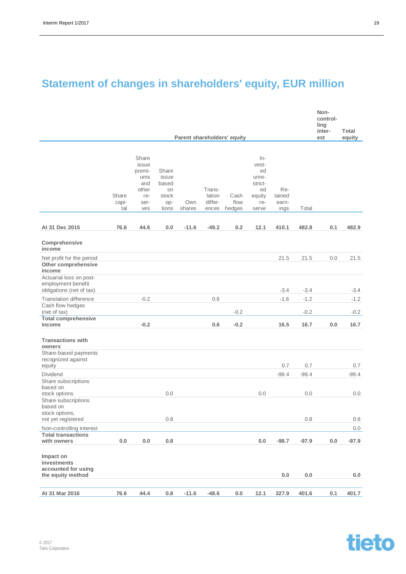## **Statement of changes in shareholders' equity, EUR million**

|                                                                           |                       |                                                                       |                                                        |               |                                      |                             |                                                                          |                                |                | Non-<br>control-<br>ling<br>inter- | Total          |
|---------------------------------------------------------------------------|-----------------------|-----------------------------------------------------------------------|--------------------------------------------------------|---------------|--------------------------------------|-----------------------------|--------------------------------------------------------------------------|--------------------------------|----------------|------------------------------------|----------------|
|                                                                           |                       |                                                                       |                                                        |               |                                      | Parent shareholders' equity |                                                                          |                                |                | est                                | equity         |
|                                                                           | Share<br>capi-<br>tal | Share<br>issue<br>premi-<br>ums<br>and<br>other<br>re-<br>ser-<br>ves | Share<br>issue<br>based<br>on<br>stock<br>op-<br>tions | Own<br>shares | Trans-<br>lation<br>differ-<br>ences | Cash<br>flow<br>hedges      | $In-$<br>vest-<br>ed<br>unre-<br>strict-<br>ed<br>equity<br>re-<br>serve | Re-<br>tained<br>earn-<br>ings | Total          |                                    |                |
| At 31 Dec 2015                                                            | 76.6                  | 44.6                                                                  | 0.0                                                    | $-11.6$       | $-49.2$                              | 0.2                         | 12.1                                                                     | 410.1                          | 482.8          | 0.1                                | 482.9          |
| Comprehensive<br>income                                                   |                       |                                                                       |                                                        |               |                                      |                             |                                                                          |                                |                |                                    |                |
| Net profit for the period<br>Other comprehensive<br>income                |                       |                                                                       |                                                        |               |                                      |                             |                                                                          | 21.5                           | 21.5           | 0.0                                | 21.5           |
| Actuarial loss on post-<br>employment benefit<br>obligations (net of tax) |                       |                                                                       |                                                        |               |                                      |                             |                                                                          | $-3.4$                         | $-3.4$         |                                    | $-3.4$         |
| <b>Translation difference</b><br>Cash flow hedges                         |                       | $-0.2$                                                                |                                                        |               | 0.6                                  |                             |                                                                          | $-1.6$                         | $-1.2$         |                                    | $-1.2$         |
| (net of tax)<br><b>Total comprehensive</b><br>income                      |                       | $-0.2$                                                                |                                                        |               | 0.6                                  | $-0.2$<br>$-0.2$            |                                                                          | 16.5                           | $-0.2$<br>16.7 | 0.0                                | $-0.2$<br>16.7 |
|                                                                           |                       |                                                                       |                                                        |               |                                      |                             |                                                                          |                                |                |                                    |                |
| <b>Transactions with</b><br>owners                                        |                       |                                                                       |                                                        |               |                                      |                             |                                                                          |                                |                |                                    |                |
| Share-based payments<br>recognized against<br>equity                      |                       |                                                                       |                                                        |               |                                      |                             |                                                                          | 0.7                            | 0.7            |                                    | 0.7            |
| <b>Dividend</b>                                                           |                       |                                                                       |                                                        |               |                                      |                             |                                                                          | $-99.4$                        | $-99.4$        |                                    | $-99.4$        |
| Share subscriptions<br>based on<br>stock options                          |                       |                                                                       | 0.0                                                    |               |                                      |                             | 0.0                                                                      |                                | 0.0            |                                    | 0.0            |
| Share subscriptions<br>based on<br>stock options.                         |                       |                                                                       |                                                        |               |                                      |                             |                                                                          |                                |                |                                    |                |
| not yet registered                                                        |                       |                                                                       | 0.8                                                    |               |                                      |                             |                                                                          |                                | 0.8            |                                    | 0.8            |
| Non-controlling interest                                                  |                       |                                                                       |                                                        |               |                                      |                             |                                                                          |                                |                |                                    | 0.0            |
| <b>Total transactions</b><br>with owners                                  | 0.0                   | $0.0\,$                                                               | 0.8                                                    |               |                                      |                             | 0.0                                                                      | $-98.7$                        | $-97.9$        | $0.0\,$                            | $-97.9$        |
| Impact on<br>investments<br>accounted for using<br>the equity method      |                       |                                                                       |                                                        |               |                                      |                             |                                                                          | 0.0                            | 0.0            |                                    | 0.0            |
|                                                                           |                       |                                                                       |                                                        |               |                                      |                             |                                                                          |                                |                |                                    |                |
| At 31 Mar 2016                                                            | 76.6                  | 44.4                                                                  | $0.8\,$                                                | $-11.6$       | $-48.6$                              | $0.0\,$                     | 12.1                                                                     | 327.9                          | 401.6          | 0.1                                | 401.7          |

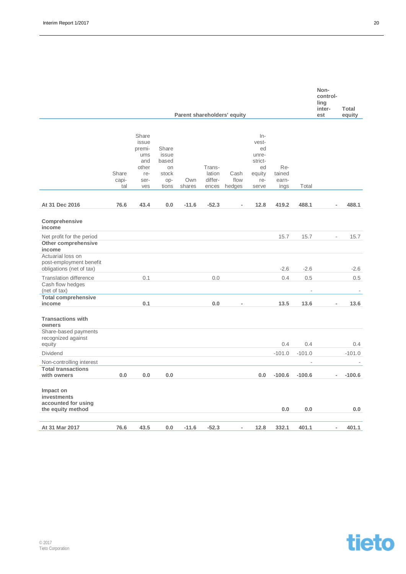|                                                                          |                       |                                                                       |                                                        |               |                                      |                             |                                                                          |                                |            | control-<br>ling<br>inter-<br>est | Total    |
|--------------------------------------------------------------------------|-----------------------|-----------------------------------------------------------------------|--------------------------------------------------------|---------------|--------------------------------------|-----------------------------|--------------------------------------------------------------------------|--------------------------------|------------|-----------------------------------|----------|
|                                                                          |                       |                                                                       |                                                        |               |                                      | Parent shareholders' equity |                                                                          |                                |            |                                   | equity   |
|                                                                          | Share<br>capi-<br>tal | Share<br>issue<br>premi-<br>ums<br>and<br>other<br>re-<br>ser-<br>ves | Share<br>issue<br>based<br>on<br>stock<br>op-<br>tions | Own<br>shares | Trans-<br>lation<br>differ-<br>ences | Cash<br>flow<br>hedges      | $In-$<br>vest-<br>ed<br>unre-<br>strict-<br>ed<br>equity<br>re-<br>serve | Re-<br>tained<br>earn-<br>ings | Total      |                                   |          |
| At 31 Dec 2016                                                           | 76.6                  | 43.4                                                                  | 0.0                                                    | $-11.6$       | $-52.3$                              |                             | 12.8                                                                     | 419.2                          | 488.1      | ÷                                 | 488.1    |
| Comprehensive<br>income                                                  |                       |                                                                       |                                                        |               |                                      |                             |                                                                          |                                |            |                                   |          |
| Net profit for the period<br>Other comprehensive<br>income               |                       |                                                                       |                                                        |               |                                      |                             |                                                                          | 15.7                           | 15.7       | $\overline{\phantom{a}}$          | 15.7     |
| Actuarial loss on<br>post-employment benefit<br>obligations (net of tax) |                       |                                                                       |                                                        |               |                                      |                             |                                                                          | $-2.6$                         | $-2.6$     |                                   | $-2.6$   |
| <b>Translation difference</b><br>Cash flow hedges                        |                       | 0.1                                                                   |                                                        |               | 0.0                                  |                             |                                                                          | 0.4                            | 0.5        |                                   | 0.5      |
| (net of tax)<br><b>Total comprehensive</b><br>income                     |                       | 0.1                                                                   |                                                        |               | 0.0                                  | $\overline{a}$              |                                                                          | 13.5                           | ä,<br>13.6 | $\overline{\phantom{m}}$          | 13.6     |
| <b>Transactions with</b><br>owners                                       |                       |                                                                       |                                                        |               |                                      |                             |                                                                          |                                |            |                                   |          |
| Share-based payments<br>recognized against<br>equity                     |                       |                                                                       |                                                        |               |                                      |                             |                                                                          | 0.4                            | 0.4        |                                   | 0.4      |
| Dividend                                                                 |                       |                                                                       |                                                        |               |                                      |                             |                                                                          | $-101.0$                       | $-101.0$   |                                   | $-101.0$ |
| Non-controlling interest                                                 |                       |                                                                       |                                                        |               |                                      |                             |                                                                          |                                | ä,         |                                   |          |
| <b>Total transactions</b><br>with owners                                 | 0.0                   | 0.0                                                                   | 0.0                                                    |               |                                      |                             | 0.0                                                                      | $-100.6$                       | $-100.6$   | $\overline{\phantom{0}}$          | $-100.6$ |
| Impact on<br>investments<br>accounted for using<br>the equity method     |                       |                                                                       |                                                        |               |                                      |                             |                                                                          | 0.0                            | 0.0        |                                   | 0.0      |
| At 31 Mar 2017                                                           | 76.6                  | 43.5                                                                  | 0.0                                                    | $-11.6$       | $-52.3$                              | Ĭ.                          | 12.8                                                                     | 332.1                          | 401.1      | $\overline{a}$                    | 401.1    |



**Non-**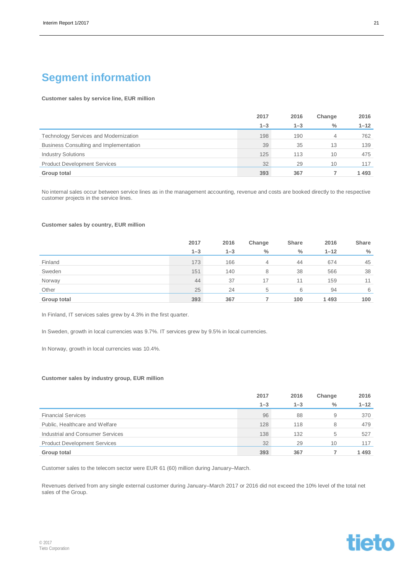### **Segment information**

### **Customer sales by service line, EUR million**

|                                              | 2017    | 2016    | Change | 2016     |
|----------------------------------------------|---------|---------|--------|----------|
|                                              | $1 - 3$ | $1 - 3$ | $\%$   | $1 - 12$ |
| <b>Technology Services and Modernization</b> | 198     | 190     | 4      | 762      |
| Business Consulting and Implementation       | 39      | 35      | 13     | 139      |
| <b>Industry Solutions</b>                    | 125     | 113     | 10     | 475      |
| <b>Product Development Services</b>          | 32      | 29      | 10     | 117      |
| Group total                                  | 393     | 367     |        | 1493     |

No internal sales occur between service lines as in the management accounting, revenue and costs are booked directly to the respective customer projects in the service lines.

#### **Customer sales by country, EUR million**

|             | 2017    | 2016    | Change | Share | 2016     | Share         |
|-------------|---------|---------|--------|-------|----------|---------------|
|             | $1 - 3$ | $1 - 3$ | $\%$   | $\%$  | $1 - 12$ | $\frac{0}{0}$ |
| Finland     | 173     | 166     | 4      | 44    | 674      | 45            |
| Sweden      | 151     | 140     | 8      | 38    | 566      | 38            |
| Norway      | 44      | 37      | 17     | 11    | 159      | 11            |
| Other       | 25      | 24      | 5      | 6     | 94       | 6             |
| Group total | 393     | 367     |        | 100   | 1493     | 100           |

In Finland, IT services sales grew by 4.3% in the first quarter.

In Sweden, growth in local currencies was 9.7%. IT services grew by 9.5% in local currencies.

In Norway, growth in local currencies was 10.4%.

#### **Customer sales by industry group, EUR million**

|                                     | 2017    | 2016    | Change        | 2016     |
|-------------------------------------|---------|---------|---------------|----------|
|                                     | $1 - 3$ | $1 - 3$ | $\frac{0}{0}$ | $1 - 12$ |
| <b>Financial Services</b>           | 96      | 88      | 9             | 370      |
| Public, Healthcare and Welfare      | 128     | 118     | 8             | 479      |
| Industrial and Consumer Services    | 138     | 132     | 5             | 527      |
| <b>Product Development Services</b> | 32      | 29      | 10            | 117      |
| Group total                         | 393     | 367     |               | 1493     |

Customer sales to the telecom sector were EUR 61 (60) million during January–March.

Revenues derived from any single external customer during January–March 2017 or 2016 did not exceed the 10% level of the total net sales of the Group.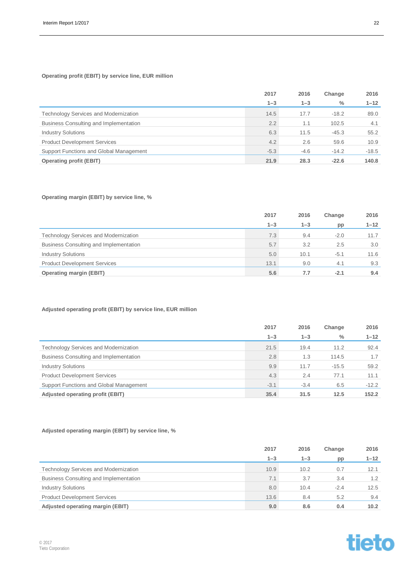### **Operating profit (EBIT) by service line, EUR million**

|                                         | 2017          | 2016    | Change        | 2016     |
|-----------------------------------------|---------------|---------|---------------|----------|
|                                         | $1 - 3$       | $1 - 3$ | $\frac{0}{0}$ | $1 - 12$ |
| Technology Services and Modernization   | 14.5          | 17.7    | $-18.2$       | 89.0     |
| Business Consulting and Implementation  | $2.2^{\circ}$ | 1.1     | 102.5         | 4.1      |
| <b>Industry Solutions</b>               | 6.3           | 11.5    | $-45.3$       | 55.2     |
| <b>Product Development Services</b>     | 4.2           | 2.6     | 59.6          | 10.9     |
| Support Functions and Global Management | $-5.3$        | $-4.6$  | $-14.2$       | $-18.5$  |
| <b>Operating profit (EBIT)</b>          | 21.9          | 28.3    | $-22.6$       | 140.8    |

### **Operating margin (EBIT) by service line, %**

|                                              | 2017    | 2016    | Change | 2016     |
|----------------------------------------------|---------|---------|--------|----------|
|                                              | $1 - 3$ | $1 - 3$ | pp     | $1 - 12$ |
| <b>Technology Services and Modernization</b> | 7.3     | 9.4     | $-2.0$ | 11.7     |
| Business Consulting and Implementation       | 5.7     | 3.2     | 2.5    | 3.0      |
| <b>Industry Solutions</b>                    | 5.0     | 10.1    | $-5.1$ | 11.6     |
| <b>Product Development Services</b>          | 13.1    | 9.0     | 4.1    | 9.3      |
| <b>Operating margin (EBIT)</b>               | 5.6     | 7.7     | $-2.1$ | 9.4      |

### **Adjusted operating profit (EBIT) by service line, EUR million**

|                                              | 2017    | 2016    | Change  | 2016     |
|----------------------------------------------|---------|---------|---------|----------|
|                                              | $1 - 3$ | $1 - 3$ | $\%$    | $1 - 12$ |
| <b>Technology Services and Modernization</b> | 21.5    | 19.4    | 11.2    | 92.4     |
| Business Consulting and Implementation       | 2.8     | 1.3     | 114.5   | 1.7      |
| <b>Industry Solutions</b>                    | 9.9     | 11.7    | $-15.5$ | 59.2     |
| <b>Product Development Services</b>          | 4.3     | 2.4     | 77.1    | 11.1     |
| Support Functions and Global Management      | $-3.1$  | $-3.4$  | 6.5     | $-12.2$  |
| Adjusted operating profit (EBIT)             | 35.4    | 31.5    | 12.5    | 152.2    |

### **Adjusted operating margin (EBIT) by service line, %**

|                                              | 2017    | 2016    | Change | 2016     |
|----------------------------------------------|---------|---------|--------|----------|
|                                              | $1 - 3$ | $1 - 3$ | pp     | $1 - 12$ |
| <b>Technology Services and Modernization</b> | 10.9    | 10.2    | 0.7    | 12.1     |
| Business Consulting and Implementation       | 7.1     | 3.7     | 3.4    | 1.2      |
| <b>Industry Solutions</b>                    | 8.0     | 10.4    | $-2.4$ | 12.5     |
| <b>Product Development Services</b>          | 13.6    | 8.4     | 5.2    | 9.4      |
| Adjusted operating margin (EBIT)             | 9.0     | 8.6     | 0.4    | 10.2     |

tieto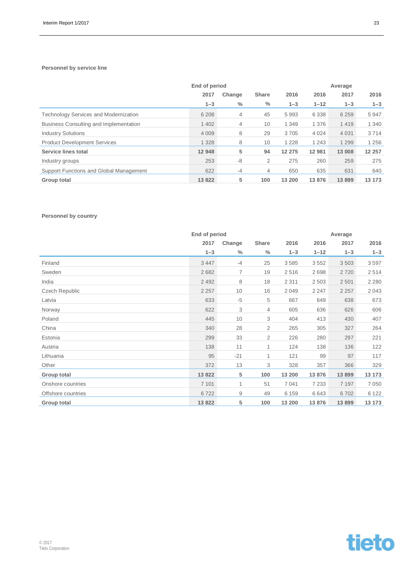### **Personnel by service line**

|                                              | End of period |                | Average      |         |          |         |         |
|----------------------------------------------|---------------|----------------|--------------|---------|----------|---------|---------|
|                                              | 2017          | Change         | <b>Share</b> | 2016    | 2016     | 2017    | 2016    |
|                                              | $1 - 3$       | $\%$           | $\%$         | $1 - 3$ | $1 - 12$ | $1 - 3$ | $1 - 3$ |
| <b>Technology Services and Modernization</b> | 6 2 0 8       | $\overline{4}$ | 45           | 5993    | 6 3 3 8  | 6 2 5 9 | 5947    |
| Business Consulting and Implementation       | 1 4 0 2       | 4              | 10           | 1 3 4 9 | 1 3 7 6  | 1419    | 1 3 4 0 |
| <b>Industry Solutions</b>                    | 4 0 0 9       | 8              | 29           | 3705    | 4 0 2 4  | 4 0 3 1 | 3714    |
| <b>Product Development Services</b>          | 1 3 2 8       | 8              | 10           | 1 2 2 8 | 1 2 4 3  | 1 2 9 9 | 1 2 5 6 |
| Service lines total                          | 12 948        | 5              | 94           | 12 275  | 12 981   | 13 008  | 12 257  |
| Industry groups                              | 253           | -8             | 2            | 275     | 260      | 259     | 275     |
| Support Functions and Global Management      | 622           | $-4$           | 4            | 650     | 635      | 631     | 640     |
| Group total                                  | 13822         | 5              | 100          | 13 200  | 13876    | 13899   | 13 173  |

### **Personnel by country**

|                       | End of period |                |                |         |          | Average |         |
|-----------------------|---------------|----------------|----------------|---------|----------|---------|---------|
|                       | 2017          | Change         | Share          | 2016    | 2016     | 2017    | 2016    |
|                       | $1 - 3$       | $\frac{0}{0}$  | $\frac{0}{0}$  | $1 - 3$ | $1 - 12$ | $1 - 3$ | $1 - 3$ |
| Finland               | 3 4 4 7       | $-4$           | 25             | 3585    | 3552     | 3503    | 3597    |
| Sweden                | 2682          | $\overline{7}$ | 19             | 2516    | 2698     | 2720    | 2514    |
| India                 | 2 4 9 2       | 8              | 18             | 2 3 1 1 | 2503     | 2501    | 2 2 8 0 |
| <b>Czech Republic</b> | 2 2 5 7       | 10             | 16             | 2049    | 2 2 4 7  | 2 2 5 7 | 2043    |
| Latvia                | 633           | $-5$           | 5              | 667     | 649      | 638     | 673     |
| Norway                | 622           | 3              | $\overline{4}$ | 605     | 636      | 626     | 606     |
| Poland                | 445           | 10             | 3              | 404     | 413      | 430     | 407     |
| China                 | 340           | 28             | $\overline{2}$ | 265     | 305      | 327     | 264     |
| Estonia               | 299           | 33             | $\overline{2}$ | 226     | 280      | 297     | 221     |
| Austria               | 138           | 11             | 1              | 124     | 138      | 136     | 122     |
| Lithuania             | 95            | $-21$          | 1              | 121     | 99       | 97      | 117     |
| Other                 | 372           | 13             | 3              | 328     | 357      | 366     | 329     |
| Group total           | 13822         | 5              | 100            | 13 200  | 13876    | 13 899  | 13 173  |
| Onshore countries     | 7 1 0 1       | 1              | 51             | 7 0 4 1 | 7 2 3 3  | 7 1 9 7 | 7 0 5 0 |
| Offshore countries    | 6722          | 9              | 49             | 6 1 5 9 | 6643     | 6702    | 6 1 2 2 |
| <b>Group total</b>    | 13822         | 5              | 100            | 13 200  | 13876    | 13 899  | 13 173  |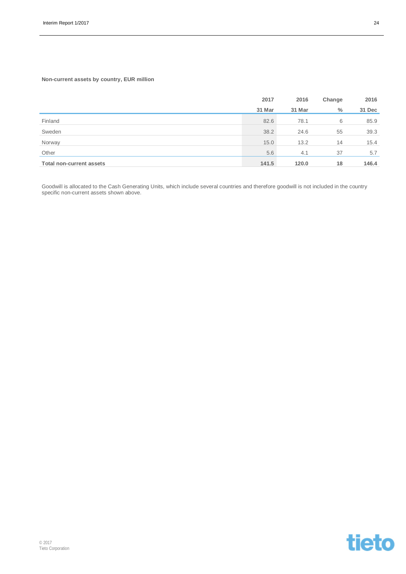### **Non-current assets by country, EUR million**

|                                 | 2017   | 2016   | Change | 2016   |
|---------------------------------|--------|--------|--------|--------|
|                                 | 31 Mar | 31 Mar | $\%$   | 31 Dec |
| Finland                         | 82.6   | 78.1   | 6      | 85.9   |
| Sweden                          | 38.2   | 24.6   | 55     | 39.3   |
| Norway                          | 15.0   | 13.2   | 14     | 15.4   |
| Other                           | 5.6    | 4.1    | 37     | 5.7    |
| <b>Total non-current assets</b> | 141.5  | 120.0  | 18     | 146.4  |

Goodwill is allocated to the Cash Generating Units, which include several countries and therefore goodwill is not included in the country specific non-current assets shown above.

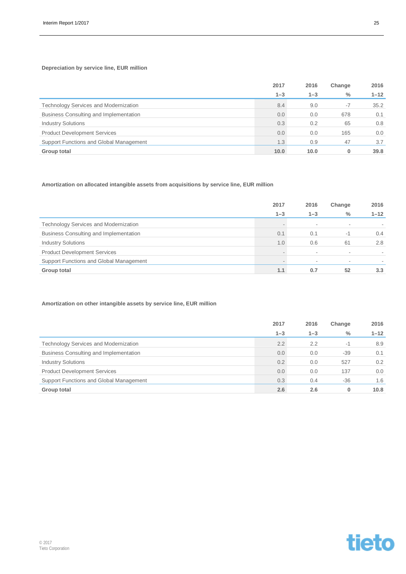### **Depreciation by service line, EUR million**

|                                              | 2017    | 2016    | Change | 2016     |
|----------------------------------------------|---------|---------|--------|----------|
|                                              | $1 - 3$ | $1 - 3$ | $\%$   | $1 - 12$ |
| <b>Technology Services and Modernization</b> | 8.4     | 9.0     | $-7$   | 35.2     |
| Business Consulting and Implementation       | 0.0     | 0.0     | 678    | 0.1      |
| <b>Industry Solutions</b>                    | 0.3     | 0.2     | 65     | 0.8      |
| <b>Product Development Services</b>          | 0.0     | 0.0     | 165    | 0.0      |
| Support Functions and Global Management      | 1.3     | 0.9     | 47     | 3.7      |
| Group total                                  | 10.0    | 10.0    | 0      | 39.8     |

### **Amortization on allocated intangible assets from acquisitions by service line, EUR million**

|                                              | 2017                     | 2016    | Change                   | 2016             |
|----------------------------------------------|--------------------------|---------|--------------------------|------------------|
|                                              | $1 - 3$                  | $1 - 3$ | $\frac{0}{0}$            | $1 - 12$         |
| <b>Technology Services and Modernization</b> | $\overline{\phantom{a}}$ |         |                          |                  |
| Business Consulting and Implementation       | 0.1                      | 0.1     | $-1$                     | $0.4^{\circ}$    |
| <b>Industry Solutions</b>                    | 1.0                      | 0.6     | 61                       | 2.8              |
| <b>Product Development Services</b>          | $\sim$                   | ۰       | $\overline{\phantom{a}}$ |                  |
| Support Functions and Global Management      |                          |         |                          |                  |
| Group total                                  | 1.1                      | 0.7     | 52                       | 3.3 <sub>1</sub> |

### **Amortization on other intangible assets by service line, EUR million**

|                                              | 2017    | 2016    | Change | 2016     |
|----------------------------------------------|---------|---------|--------|----------|
|                                              | $1 - 3$ | $1 - 3$ | $\%$   | $1 - 12$ |
| <b>Technology Services and Modernization</b> | 2.2     | 2.2     | -1     | 8.9      |
| Business Consulting and Implementation       | 0.0     | 0.0     | $-39$  | 0.1      |
| <b>Industry Solutions</b>                    | 0.2     | 0.0     | 527    | 0.2      |
| <b>Product Development Services</b>          | 0.0     | 0.0     | 137    | 0.0      |
| Support Functions and Global Management      | 0.3     | 0.4     | $-36$  | 1.6      |
| Group total                                  | 2.6     | 2.6     | 0      | 10.8     |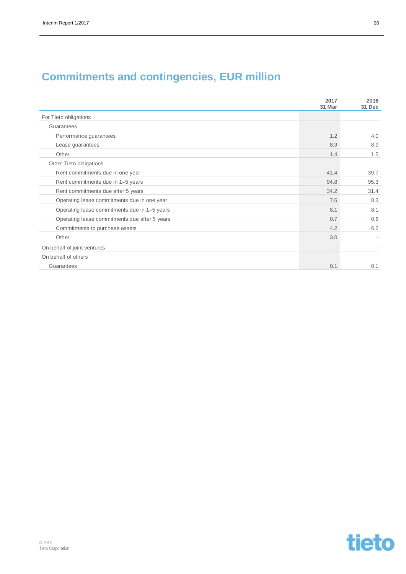### **Commitments and contingencies, EUR million**

|                                               | 2017<br>31 Mar | 2016<br>31 Dec |
|-----------------------------------------------|----------------|----------------|
| For Tieto obligations                         |                |                |
| Guarantees                                    |                |                |
| Performance guarantees                        | 1.2            | 4.0            |
| Lease guarantees                              | 8.9            | 8.9            |
| Other                                         | 1.4            | 1.5            |
| Other Tieto obligations                       |                |                |
| Rent commitments due in one year              | 41.4           | 39.7           |
| Rent commitments due in 1-5 years             | 94.8           | 95.3           |
| Rent commitments due after 5 years            | 34.2           | 31.4           |
| Operating lease commitments due in one year   | 7.6            | 8.3            |
| Operating lease commitments due in 1-5 years  | 8.1            | 8.1            |
| Operating lease commitments due after 5 years | 0.7            | 0.6            |
| Commitments to purchase assets                | 4.2            | 6.2            |
| Other                                         | 3.0            |                |
| On behalf of joint ventures                   |                |                |
| On behalf of others                           |                |                |
| Guarantees                                    | 0.1            | 0.1            |

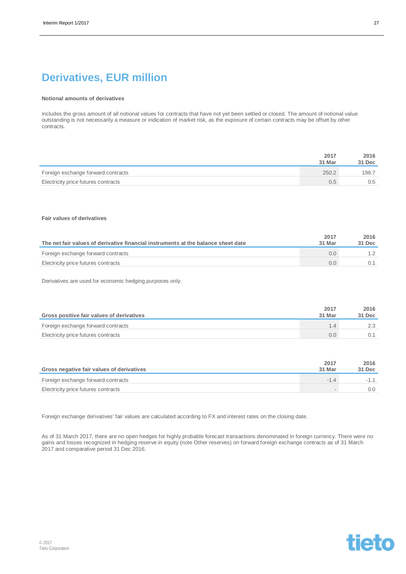### **Derivatives, EUR million**

#### **Notional amounts of derivatives**

Includes the gross amount of all notional values for contracts that have not yet been settled or closed. The amount of notional value outstanding is not necessarily a measure or indication of market risk, as the exposure of certain contracts may be offset by other contracts.

|                                     | 2017<br>31 Mar | 2016<br>31 Dec |
|-------------------------------------|----------------|----------------|
| Foreign exchange forward contracts  | 250.2          | 198.7          |
| Electricity price futures contracts | 0.5            | 0.5            |

#### **Fair values of derivatives**

|                                                                                   | 2017   | 2016   |
|-----------------------------------------------------------------------------------|--------|--------|
| The net fair values of derivative financial instruments at the balance sheet date | 31 Mar | 31 Dec |
| Foreign exchange forward contracts                                                | 0.0    |        |
| Electricity price futures contracts                                               | 0.0    |        |

Derivatives are used for economic hedging purposes only.

| Gross positive fair values of derivatives | 2017<br>31 Mar | 2016<br>31 Dec |
|-------------------------------------------|----------------|----------------|
| Foreign exchange forward contracts        |                |                |
| Electricity price futures contracts       | O.O            |                |

| Gross negative fair values of derivatives | 2017<br>31 Mar | 2016<br>31 Dec |
|-------------------------------------------|----------------|----------------|
| Foreign exchange forward contracts        |                |                |
| Electricity price futures contracts       |                | O.O            |

Foreign exchange derivatives' fair values are calculated according to FX and interest rates on the closing date.

As of 31 March 2017, there are no open hedges for highly probable forecast transactions denominated in foreign currency. There were no gains and losses recognized in hedging reserve in equity (note Other reserves) on forward foreign exchange contracts as of 31 March 2017 and comparative period 31 Dec 2016.

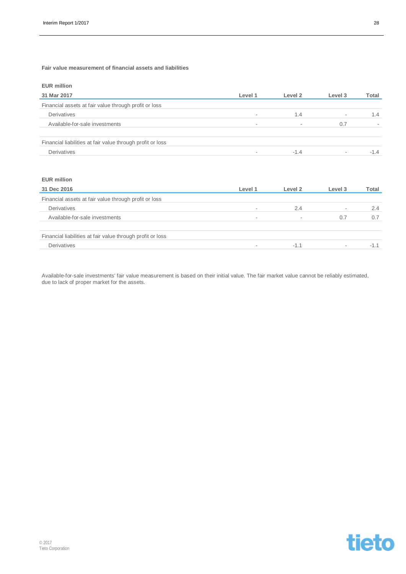**Fair value measurement of financial assets and liabilities**

|  | <b>EUR million</b> |  |
|--|--------------------|--|
|--|--------------------|--|

| 31 Mar 2017                                                | Level 1                  | Level 2 | Level 3                  | Total  |
|------------------------------------------------------------|--------------------------|---------|--------------------------|--------|
| Financial assets at fair value through profit or loss      |                          |         |                          |        |
| Derivatives                                                |                          | 1.4     | $\sim$                   | 1.4    |
| Available-for-sale investments                             | $\overline{\phantom{a}}$ | $\sim$  | 0.7                      |        |
| Financial liabilities at fair value through profit or loss |                          |         |                          |        |
| Derivatives                                                |                          | $-1.4$  | $\overline{\phantom{a}}$ | $-1.4$ |

### **EUR million**

| 31 Dec 2016                                                | Level 1                  | Level 2 | Level 3                  | Total |
|------------------------------------------------------------|--------------------------|---------|--------------------------|-------|
| Financial assets at fair value through profit or loss      |                          |         |                          |       |
| Derivatives                                                | $\sim$                   | 2.4     | $\overline{\phantom{a}}$ | 2.4   |
| Available-for-sale investments                             | $\overline{\phantom{a}}$ |         | 0.7                      | 0.7   |
| Financial liabilities at fair value through profit or loss |                          |         |                          |       |
| Derivatives                                                | $\sim$                   | $-1.1$  | $\overline{\phantom{a}}$ | $-1.$ |

Available-for-sale investments' fair value measurement is based on their initial value. The fair market value cannot be reliably estimated, due to lack of proper market for the assets.

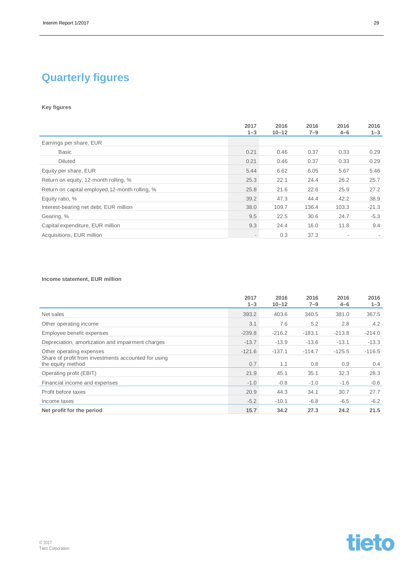## **Quarterly figures**

### **Key figures**

|                                                 | 2017<br>$1 - 3$          | 2016<br>$10 - 12$ | 2016<br>$7 - 9$ | 2016<br>$4 - 6$          | 2016<br>$1 - 3$ |
|-------------------------------------------------|--------------------------|-------------------|-----------------|--------------------------|-----------------|
| Earnings per share, EUR                         |                          |                   |                 |                          |                 |
| <b>Basic</b>                                    | 0.21                     | 0.46              | 0.37            | 0.33                     | 0.29            |
| <b>Diluted</b>                                  | 0.21                     | 0.46              | 0.37            | 0.33                     | 0.29            |
| Equity per share, EUR                           | 5.44                     | 6.62              | 6.05            | 5.67                     | 5.46            |
| Return on equity, 12-month rolling, %           | 25.3                     | 22.1              | 24.4            | 26.2                     | 25.7            |
| Return on capital employed, 12-month rolling, % | 25.8                     | 21.6              | 22.6            | 25.9                     | 27.2            |
| Equity ratio, %                                 | 39.2                     | 47.3              | 44.4            | 42.2                     | 38.9            |
| Interest-bearing net debt, EUR million          | 38.0                     | 109.7             | 136.4           | 103.3                    | $-21.3$         |
| Gearing, %                                      | 9.5                      | 22.5              | 30.6            | 24.7                     | $-5.3$          |
| Capital expenditure, EUR million                | 9.3                      | 24.4              | 16.0            | 11.8                     | 9.4             |
| Acquisitions, EUR million                       | $\overline{\phantom{a}}$ | 0.3               | 37.3            | $\overline{\phantom{a}}$ |                 |

### **Income statement, EUR million**

|                                                                           | 2017<br>$1 - 3$ | 2016<br>$10 - 12$ | 2016<br>$7 - 9$ | 2016<br>$4 - 6$ | 2016<br>$1 - 3$ |
|---------------------------------------------------------------------------|-----------------|-------------------|-----------------|-----------------|-----------------|
| Net sales                                                                 | 393.2           | 403.6             | 340.5           | 381.0           | 367.5           |
| Other operating income                                                    | 3.1             | 7.6               | 5.2             | 2.8             | 4.2             |
| Employee benefit expenses                                                 | $-239.8$        | $-216.2$          | $-183.1$        | $-213.8$        | $-214.0$        |
| Depreciation, amortization and impairment charges                         | $-13.7$         | $-13.9$           | $-13.6$         | $-13.1$         | $-13.3$         |
| Other operating expenses                                                  | $-121.6$        | $-137.1$          | $-114.7$        | $-125.5$        | $-116.5$        |
| Share of profit from investments accounted for using<br>the equity method | 0.7             | 1.1               | 0.8             | 0.9             | $0.4^{\circ}$   |
| Operating profit (EBIT)                                                   | 21.9            | 45.1              | 35.1            | 32.3            | 28.3            |
| Financial income and expenses                                             | $-1.0$          | $-0.8$            | $-1.0$          | $-1.6$          | $-0.6$          |
| Profit before taxes                                                       | 20.9            | 44.3              | 34.1            | 30.7            | 27.7            |
| Income taxes                                                              | $-5.2$          | $-10.1$           | $-6.8$          | $-6.5$          | $-6.2$          |
| Net profit for the period                                                 | 15.7            | 34.2              | 27.3            | 24.2            | 21.5            |

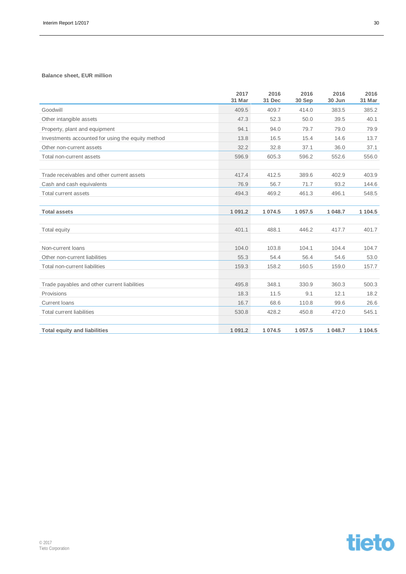### **Balance sheet, EUR million**

|                                                   | 2017<br>31 Mar | 2016<br>31 Dec | 2016<br>30 Sep | 2016<br>30 Jun | 2016<br>31 Mar |
|---------------------------------------------------|----------------|----------------|----------------|----------------|----------------|
| Goodwill                                          | 409.5          | 409.7          | 414.0          | 383.5          | 385.2          |
| Other intangible assets                           | 47.3           | 52.3           | 50.0           | 39.5           | 40.1           |
| Property, plant and equipment                     | 94.1           | 94.0           | 79.7           | 79.0           | 79.9           |
| Investments accounted for using the equity method | 13.8           | 16.5           | 15.4           | 14.6           | 13.7           |
| Other non-current assets                          | 32.2           | 32.8           | 37.1           | 36.0           | 37.1           |
| Total non-current assets                          | 596.9          | 605.3          | 596.2          | 552.6          | 556.0          |
| Trade receivables and other current assets        | 417.4          | 412.5          | 389.6          | 402.9          | 403.9          |
| Cash and cash equivalents                         | 76.9           | 56.7           | 71.7           | 93.2           | 144.6          |
| <b>Total current assets</b>                       | 494.3          | 469.2          | 461.3          | 496.1          | 548.5          |
| <b>Total assets</b>                               | 1 0 9 1 .2     | 1 0 7 4 .5     | 1 057.5        | 1 048.7        | 1 104.5        |
| Total equity                                      | 401.1          | 488.1          | 446.2          | 417.7          | 401.7          |
| Non-current loans                                 | 104.0          | 103.8          | 104.1          | 104.4          | 104.7          |
| Other non-current liabilities                     | 55.3           | 54.4           | 56.4           | 54.6           | 53.0           |
| Total non-current liabilities                     | 159.3          | 158.2          | 160.5          | 159.0          | 157.7          |
| Trade payables and other current liabilities      | 495.8          | 348.1          | 330.9          | 360.3          | 500.3          |
| Provisions                                        | 18.3           | 11.5           | 9.1            | 12.1           | 18.2           |
| <b>Current loans</b>                              | 16.7           | 68.6           | 110.8          | 99.6           | 26.6           |
| <b>Total current liabilities</b>                  | 530.8          | 428.2          | 450.8          | 472.0          | 545.1          |
| <b>Total equity and liabilities</b>               | 1 0 9 1 .2     | 1 0 7 4 .5     | 1 0 5 7.5      | 1 048.7        | 1 104.5        |

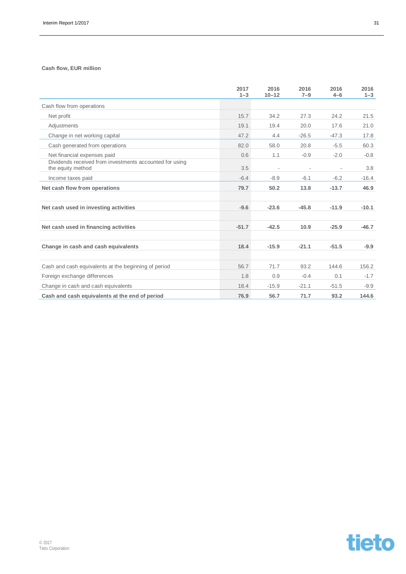### **Cash flow, EUR million**

|                                                                              | 2017<br>$1 - 3$ | 2016<br>$10 - 12$        | 2016<br>$7 - 9$          | 2016<br>$4 - 6$          | 2016<br>$1 - 3$ |
|------------------------------------------------------------------------------|-----------------|--------------------------|--------------------------|--------------------------|-----------------|
| Cash flow from operations                                                    |                 |                          |                          |                          |                 |
| Net profit                                                                   | 15.7            | 34.2                     | 27.3                     | 24.2                     | 21.5            |
| Adjustments                                                                  | 19.1            | 19.4                     | 20.0                     | 17.6                     | 21.0            |
| Change in net working capital                                                | 47.2            | 4.4                      | $-26.5$                  | $-47.3$                  | 17.8            |
| Cash generated from operations                                               | 82.0            | 58.0                     | 20.8                     | $-5.5$                   | 60.3            |
| Net financial expenses paid                                                  | 0.6             | 1.1                      | $-0.9$                   | $-2.0$                   | $-0.8$          |
| Dividends received from investments accounted for using<br>the equity method | 3.5             | $\overline{\phantom{a}}$ | $\overline{\phantom{a}}$ | $\overline{\phantom{a}}$ | 3.8             |
| Income taxes paid                                                            | $-6.4$          | $-8.9$                   | $-6.1$                   | $-6.2$                   | $-16.4$         |
| Net cash flow from operations                                                | 79.7            | 50.2                     | 13.8                     | $-13.7$                  | 46.9            |
| Net cash used in investing activities                                        | $-9.6$          | $-23.6$                  | $-45.8$                  | $-11.9$                  | $-10.1$         |
| Net cash used in financing activities                                        | $-51.7$         | $-42.5$                  | 10.9                     | $-25.9$                  | $-46.7$         |
| Change in cash and cash equivalents                                          | 18.4            | $-15.9$                  | $-21.1$                  | $-51.5$                  | $-9.9$          |
| Cash and cash equivalents at the beginning of period                         | 56.7            | 71.7                     | 93.2                     | 144.6                    | 156.2           |
| Foreign exchange differences                                                 | 1.8             | 0.9                      | $-0.4$                   | 0.1                      | $-1.7$          |
| Change in cash and cash equivalents                                          | 18.4            | $-15.9$                  | $-21.1$                  | $-51.5$                  | $-9.9$          |
| Cash and cash equivalents at the end of period                               | 76.9            | 56.7                     | 71.7                     | 93.2                     | 144.6           |

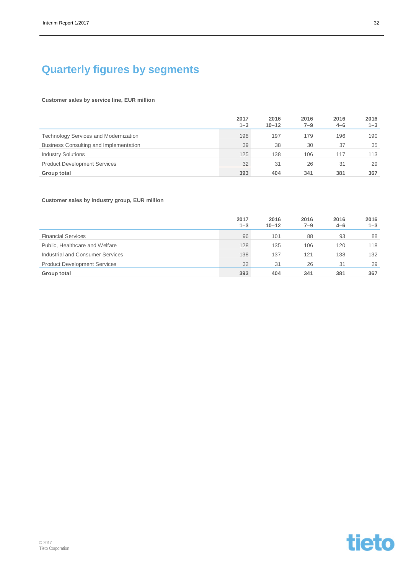### **Quarterly figures by segments**

#### **Customer sales by service line, EUR million**

|                                              | 2017<br>$1 - 3$ | 2016<br>$10 - 12$ | 2016<br>$7 - 9$ | 2016<br>$4 - 6$ | 2016<br>$1 - 3$ |
|----------------------------------------------|-----------------|-------------------|-----------------|-----------------|-----------------|
| <b>Technology Services and Modernization</b> | 198             | 197               | 179             | 196             | 190             |
| Business Consulting and Implementation       | 39              | 38                | 30              | 37              | 35              |
| <b>Industry Solutions</b>                    | 125             | 138               | 106             | 117             | 113             |
| <b>Product Development Services</b>          | 32              | 31                | 26              | 31              | 29              |
| Group total                                  | 393             | 404               | 341             | 381             | 367             |

### **Customer sales by industry group, EUR million**

|                                     | 2017<br>$1 - 3$ | 2016<br>$10 - 12$ | 2016<br>$7 - 9$ | 2016<br>$4 - 6$ | 2016<br>$1 - 3$ |
|-------------------------------------|-----------------|-------------------|-----------------|-----------------|-----------------|
| <b>Financial Services</b>           | 96              | 101               | 88              | 93              | 88              |
| Public, Healthcare and Welfare      | 128             | 135               | 106             | 120             | 118             |
| Industrial and Consumer Services    | 138             | 137               | 121             | 138             | 132             |
| <b>Product Development Services</b> | 32              | 31                | 26              | 31              | 29              |
| <b>Group total</b>                  | 393             | 404               | 341             | 381             | 367             |



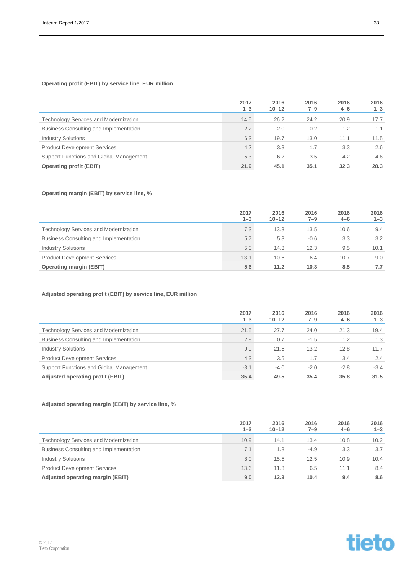### **Operating profit (EBIT) by service line, EUR million**

|                                              | 2017<br>$1 - 3$ | 2016<br>$10 - 12$ | 2016<br>$7 - 9$ | 2016<br>$4 - 6$ | 2016<br>$1 - 3$ |
|----------------------------------------------|-----------------|-------------------|-----------------|-----------------|-----------------|
| <b>Technology Services and Modernization</b> | 14.5            | 26.2              | 24.2            | 20.9            | 17.7            |
| Business Consulting and Implementation       | 2.2             | 2.0               | $-0.2$          | 1.2             | 1.1             |
| <b>Industry Solutions</b>                    | 6.3             | 19.7              | 13.0            | 11.1            | 11.5            |
| <b>Product Development Services</b>          | 4.2             | 3.3               | 1.7             | 3.3             | 2.6             |
| Support Functions and Global Management      | $-5.3$          | $-6.2$            | $-3.5$          | $-4.2$          | $-4.6$          |
| <b>Operating profit (EBIT)</b>               | 21.9            | 45.1              | 35.1            | 32.3            | 28.3            |

### **Operating margin (EBIT) by service line, %**

|                                              | 2017<br>$1 - 3$ | 2016<br>$10 - 12$ | 2016<br>7–9 | 2016<br>$4 - 6$ | 2016<br>$1 - 3$ |
|----------------------------------------------|-----------------|-------------------|-------------|-----------------|-----------------|
| <b>Technology Services and Modernization</b> | 7.3             | 13.3              | 13.5        | 10.6            | 9.4             |
| Business Consulting and Implementation       | 5.7             | 5.3               | $-0.6$      | 3.3             | 3.2             |
| <b>Industry Solutions</b>                    | 5.0             | 14.3              | 12.3        | 9.5             | 10.1            |
| <b>Product Development Services</b>          | 13.1            | 10.6              | 6.4         | 10.7            | 9.0             |
| <b>Operating margin (EBIT)</b>               | 5.6             | 11.2              | 10.3        | 8.5             | 7.7             |

### **Adjusted operating profit (EBIT) by service line, EUR million**

|                                              | 2017<br>$1 - 3$ | 2016<br>$10 - 12$ | 2016<br>$7 - 9$ | 2016<br>$4 - 6$ | 2016<br>$1 - 3$ |
|----------------------------------------------|-----------------|-------------------|-----------------|-----------------|-----------------|
| <b>Technology Services and Modernization</b> | 21.5            | 27.7              | 24.0            | 21.3            | 19.4            |
| Business Consulting and Implementation       | 2.8             | 0.7               | $-1.5$          | 1.2             | 1.3             |
| <b>Industry Solutions</b>                    | 9.9             | 21.5              | 13.2            | 12.8            | 11.7            |
| <b>Product Development Services</b>          | 4.3             | 3.5               | 1.7             | 3.4             | 2.4             |
| Support Functions and Global Management      | $-3.1$          | $-4.0$            | $-2.0$          | $-2.8$          | $-3.4$          |
| Adjusted operating profit (EBIT)             | 35.4            | 49.5              | 35.4            | 35.8            | 31.5            |

### **Adjusted operating margin (EBIT) by service line, %**

|                                              | 2017<br>$1 - 3$ | 2016<br>$10 - 12$ | 2016<br>$7 - 9$ | 2016<br>$4 - 6$ | 2016<br>$1 - 3$ |
|----------------------------------------------|-----------------|-------------------|-----------------|-----------------|-----------------|
| <b>Technology Services and Modernization</b> | 10.9            | 14.1              | 13.4            | 10.8            | 10.2            |
| Business Consulting and Implementation       | 7.1             | 1.8               | $-4.9$          | 3.3             | 3.7             |
| <b>Industry Solutions</b>                    | 8.0             | 15.5              | 12.5            | 10.9            | 10.4            |
| <b>Product Development Services</b>          | 13.6            | 11.3              | 6.5             | 11.1            | 8.4             |
| Adjusted operating margin (EBIT)             | 9.0             | 12.3              | 10.4            | 9.4             | 8.6             |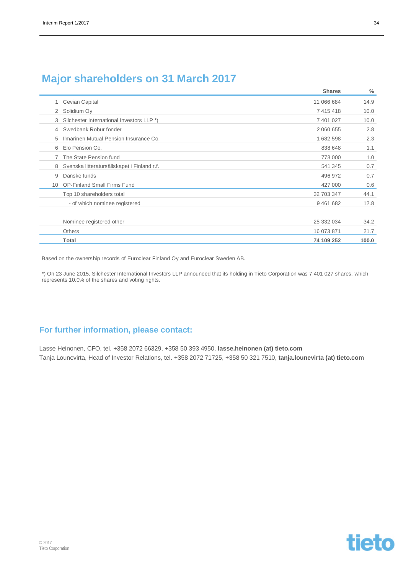### **Major shareholders on 31 March 2017**

|                |                                             | <b>Shares</b> | $\%$  |
|----------------|---------------------------------------------|---------------|-------|
|                | Cevian Capital                              | 11 066 684    | 14.9  |
| 2              | Solidium Oy                                 | 7 4 1 5 4 1 8 | 10.0  |
| 3              | Silchester International Investors LLP *)   | 7 401 027     | 10.0  |
| $\overline{4}$ | Swedbank Robur fonder                       | 2 060 655     | 2.8   |
| 5              | Ilmarinen Mutual Pension Insurance Co.      | 1682598       | 2.3   |
| 6              | Elo Pension Co.                             | 838 648       | 1.1   |
|                | The State Pension fund                      | 773 000       | 1.0   |
| 8              | Svenska litteratursällskapet i Finland r.f. | 541 345       | 0.7   |
| 9              | Danske funds                                | 496 972       | 0.7   |
| 10             | <b>OP-Finland Small Firms Fund</b>          | 427 000       | 0.6   |
|                | Top 10 shareholders total                   | 32 703 347    | 44.1  |
|                | - of which nominee registered               | 9461682       | 12.8  |
|                |                                             |               |       |
|                | Nominee registered other                    | 25 332 034    | 34.2  |
|                | <b>Others</b>                               | 16 073 871    | 21.7  |
|                | Total                                       | 74 109 252    | 100.0 |

Based on the ownership records of Euroclear Finland Oy and Euroclear Sweden AB.

\*) On 23 June 2015, Silchester International Investors LLP announced that its holding in Tieto Corporation was 7 401 027 shares, which represents 10.0% of the shares and voting rights.

### **For further information, please contact:**

Lasse Heinonen, CFO, tel. +358 2072 66329, +358 50 393 4950, **lasse.heinonen (at) tieto.com** Tanja Lounevirta, Head of Investor Relations, tel. +358 2072 71725, +358 50 321 7510, **tanja.lounevirta (at) tieto.com**